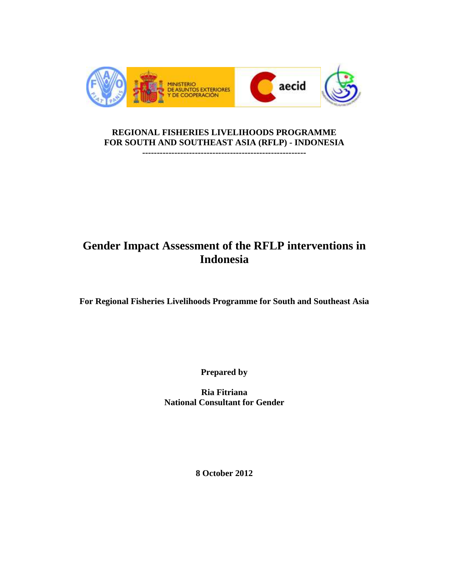

## **REGIONAL FISHERIES LIVELIHOODS PROGRAMME FOR SOUTH AND SOUTHEAST ASIA (RFLP) - INDONESIA**

**--------------------------------------------------------**

# **Gender Impact Assessment of the RFLP interventions in Indonesia**

**For Regional Fisheries Livelihoods Programme for South and Southeast Asia**

**Prepared by**

**Ria Fitriana National Consultant for Gender** 

**8 October 2012**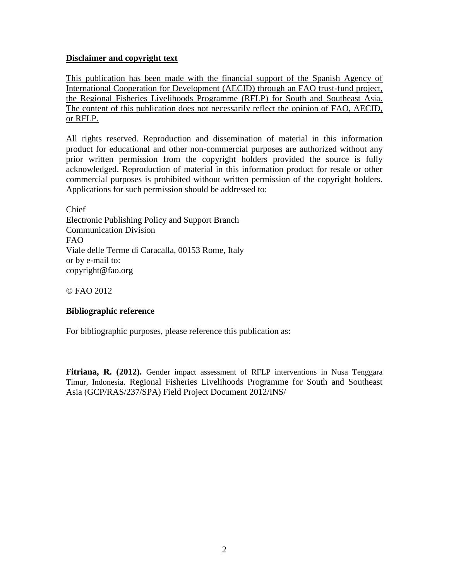## **Disclaimer and copyright text**

This publication has been made with the financial support of the Spanish Agency of International Cooperation for Development (AECID) through an FAO trust-fund project, the Regional Fisheries Livelihoods Programme (RFLP) for South and Southeast Asia. The content of this publication does not necessarily reflect the opinion of FAO, AECID, or RFLP.

All rights reserved. Reproduction and dissemination of material in this information product for educational and other non-commercial purposes are authorized without any prior written permission from the copyright holders provided the source is fully acknowledged. Reproduction of material in this information product for resale or other commercial purposes is prohibited without written permission of the copyright holders. Applications for such permission should be addressed to:

Chief Electronic Publishing Policy and Support Branch Communication Division FAO Viale delle Terme di Caracalla, 00153 Rome, Italy or by e-mail to: copyright@fao.org

© FAO 2012

#### **Bibliographic reference**

For bibliographic purposes, please reference this publication as:

**Fitriana, R. (2012).** Gender impact assessment of RFLP interventions in Nusa Tenggara Timur, Indonesia. Regional Fisheries Livelihoods Programme for South and Southeast Asia (GCP/RAS/237/SPA) Field Project Document 2012/INS/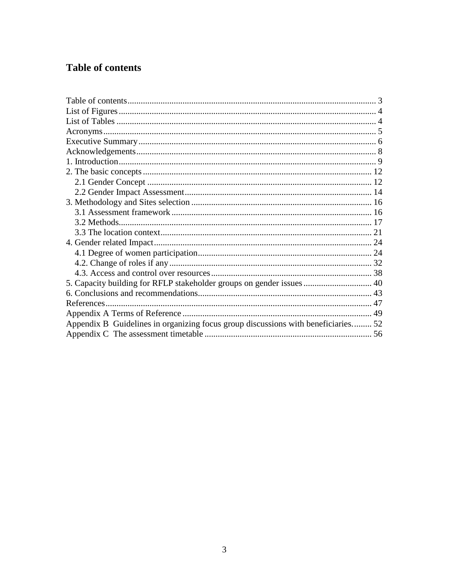# Table of contents

| Appendix B Guidelines in organizing focus group discussions with beneficiaries 52 |  |
|-----------------------------------------------------------------------------------|--|
|                                                                                   |  |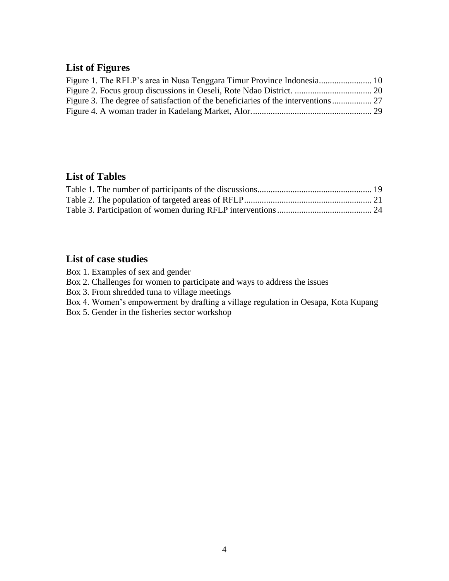## **List of Figures**

| Figure 3. The degree of satisfaction of the beneficiaries of the interventions |  |
|--------------------------------------------------------------------------------|--|
|                                                                                |  |

## **List of Tables**

## **List of case studies**

Box 1. Examples of sex and gender

Box 2. Challenges for women to participate and ways to address the issues

Box 3. From shredded tuna to village meetings

Box 4. Women's empowerment by drafting a village regulation in Oesapa, Kota Kupang

Box 5. Gender in the fisheries sector workshop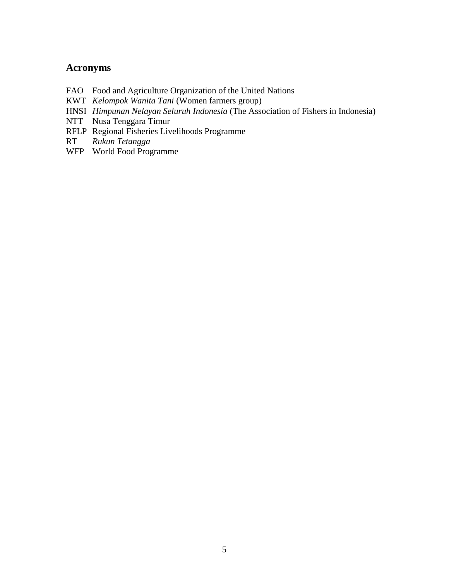## **Acronyms**

- FAO Food and Agriculture Organization of the United Nations
- KWT *Kelompok Wanita Tani* (Women farmers group)
- HNSI *Himpunan Nelayan Seluruh Indonesia* (The Association of Fishers in Indonesia)
- NTT Nusa Tenggara Timur
- RFLP Regional Fisheries Livelihoods Programme
- RT *Rukun Tetangga*
- WFP World Food Programme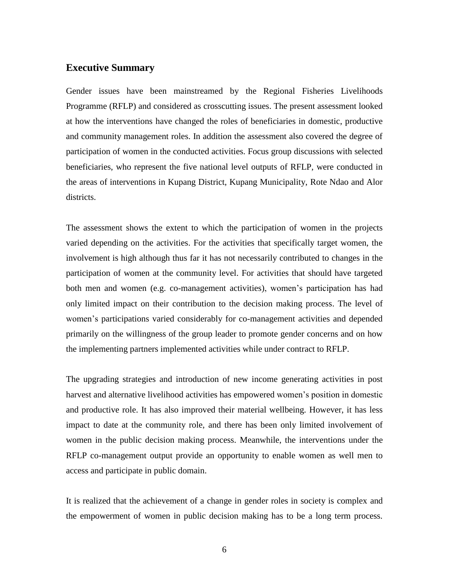#### **Executive Summary**

Gender issues have been mainstreamed by the Regional Fisheries Livelihoods Programme (RFLP) and considered as crosscutting issues. The present assessment looked at how the interventions have changed the roles of beneficiaries in domestic, productive and community management roles. In addition the assessment also covered the degree of participation of women in the conducted activities. Focus group discussions with selected beneficiaries, who represent the five national level outputs of RFLP, were conducted in the areas of interventions in Kupang District, Kupang Municipality, Rote Ndao and Alor districts.

The assessment shows the extent to which the participation of women in the projects varied depending on the activities. For the activities that specifically target women, the involvement is high although thus far it has not necessarily contributed to changes in the participation of women at the community level. For activities that should have targeted both men and women (e.g. co-management activities), women's participation has had only limited impact on their contribution to the decision making process. The level of women's participations varied considerably for co-management activities and depended primarily on the willingness of the group leader to promote gender concerns and on how the implementing partners implemented activities while under contract to RFLP.

The upgrading strategies and introduction of new income generating activities in post harvest and alternative livelihood activities has empowered women's position in domestic and productive role. It has also improved their material wellbeing. However, it has less impact to date at the community role, and there has been only limited involvement of women in the public decision making process. Meanwhile, the interventions under the RFLP co-management output provide an opportunity to enable women as well men to access and participate in public domain.

It is realized that the achievement of a change in gender roles in society is complex and the empowerment of women in public decision making has to be a long term process.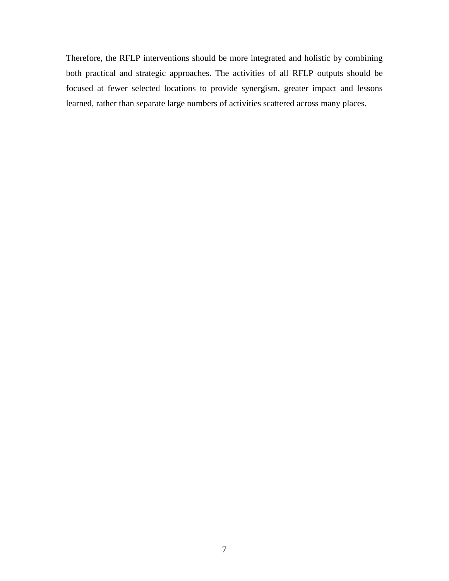Therefore, the RFLP interventions should be more integrated and holistic by combining both practical and strategic approaches. The activities of all RFLP outputs should be focused at fewer selected locations to provide synergism, greater impact and lessons learned, rather than separate large numbers of activities scattered across many places.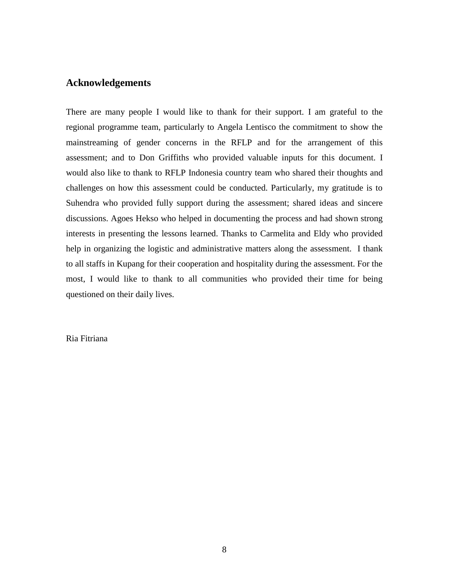## **Acknowledgements**

There are many people I would like to thank for their support. I am grateful to the regional programme team, particularly to Angela Lentisco the commitment to show the mainstreaming of gender concerns in the RFLP and for the arrangement of this assessment; and to Don Griffiths who provided valuable inputs for this document. I would also like to thank to RFLP Indonesia country team who shared their thoughts and challenges on how this assessment could be conducted. Particularly, my gratitude is to Suhendra who provided fully support during the assessment; shared ideas and sincere discussions. Agoes Hekso who helped in documenting the process and had shown strong interests in presenting the lessons learned. Thanks to Carmelita and Eldy who provided help in organizing the logistic and administrative matters along the assessment. I thank to all staffs in Kupang for their cooperation and hospitality during the assessment. For the most, I would like to thank to all communities who provided their time for being questioned on their daily lives.

Ria Fitriana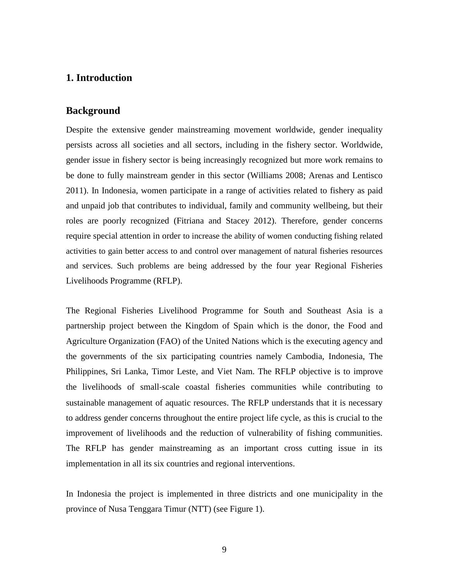## **1. Introduction**

#### **Background**

Despite the extensive gender mainstreaming movement worldwide, gender inequality persists across all societies and all sectors, including in the fishery sector. Worldwide, gender issue in fishery sector is being increasingly recognized but more work remains to be done to fully mainstream gender in this sector (Williams 2008; Arenas and Lentisco 2011). In Indonesia, women participate in a range of activities related to fishery as paid and unpaid job that contributes to individual, family and community wellbeing, but their roles are poorly recognized (Fitriana and Stacey 2012). Therefore, gender concerns require special attention in order to increase the ability of women conducting fishing related activities to gain better access to and control over management of natural fisheries resources and services. Such problems are being addressed by the four year Regional Fisheries Livelihoods Programme (RFLP).

The Regional Fisheries Livelihood Programme for South and Southeast Asia is a partnership project between the Kingdom of Spain which is the donor, the Food and Agriculture Organization (FAO) of the United Nations which is the executing agency and the governments of the six participating countries namely Cambodia, Indonesia, The Philippines, Sri Lanka, Timor Leste, and Viet Nam. The RFLP objective is to improve the livelihoods of small‐scale coastal fisheries communities while contributing to sustainable management of aquatic resources. The RFLP understands that it is necessary to address gender concerns throughout the entire project life cycle, as this is crucial to the improvement of livelihoods and the reduction of vulnerability of fishing communities. The RFLP has gender mainstreaming as an important cross cutting issue in its implementation in all its six countries and regional interventions.

In Indonesia the project is implemented in three districts and one municipality in the province of Nusa Tenggara Timur (NTT) (see Figure 1).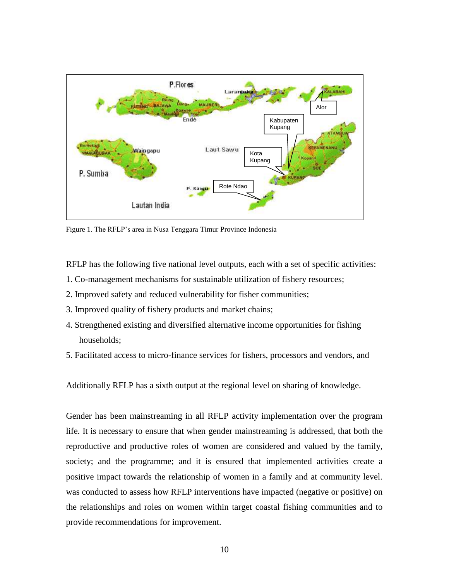

Figure 1. The RFLP's area in Nusa Tenggara Timur Province Indonesia

RFLP has the following five national level outputs, each with a set of specific activities:

- 1. Co-management mechanisms for sustainable utilization of fishery resources;
- 2. Improved safety and reduced vulnerability for fisher communities;
- 3. Improved quality of fishery products and market chains;
- 4. Strengthened existing and diversified alternative income opportunities for fishing households;
- 5. Facilitated access to micro-finance services for fishers, processors and vendors, and

Additionally RFLP has a sixth output at the regional level on sharing of knowledge.

Gender has been mainstreaming in all RFLP activity implementation over the program life. It is necessary to ensure that when gender mainstreaming is addressed, that both the reproductive and productive roles of women are considered and valued by the family, society; and the programme; and it is ensured that implemented activities create a positive impact towards the relationship of women in a family and at community level. was conducted to assess how RFLP interventions have impacted (negative or positive) on the relationships and roles on women within target coastal fishing communities and to provide recommendations for improvement.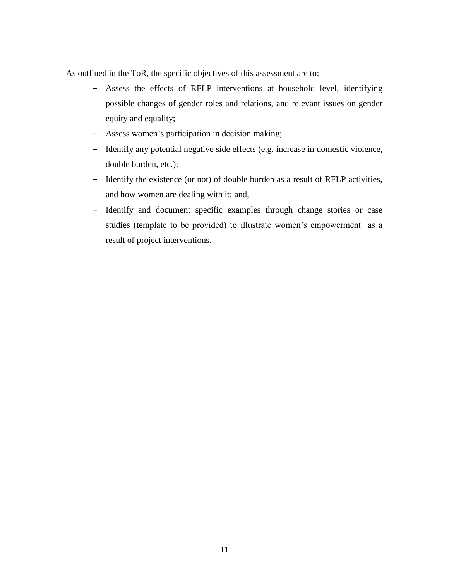As outlined in the ToR, the specific objectives of this assessment are to:

- Assess the effects of RFLP interventions at household level, identifying possible changes of gender roles and relations, and relevant issues on gender equity and equality;
- Assess women's participation in decision making;
- Identify any potential negative side effects (e.g. increase in domestic violence, double burden, etc.);
- Identify the existence (or not) of double burden as a result of RFLP activities, and how women are dealing with it; and,
- Identify and document specific examples through change stories or case studies (template to be provided) to illustrate women's empowerment as a result of project interventions.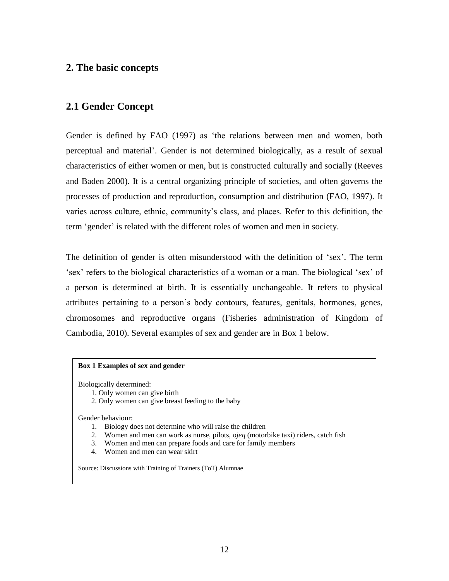## **2. The basic concepts**

## **2.1 Gender Concept**

Gender is defined by FAO (1997) as 'the relations between men and women, both perceptual and material'. Gender is not determined biologically, as a result of sexual characteristics of either women or men, but is constructed culturally and socially (Reeves and Baden 2000). It is a central organizing principle of societies, and often governs the processes of production and reproduction, consumption and distribution (FAO, 1997). It varies across culture, ethnic, community's class, and places. Refer to this definition, the term 'gender' is related with the different roles of women and men in society.

The definition of gender is often misunderstood with the definition of 'sex'. The term 'sex' refers to the biological characteristics of a woman or a man. The biological 'sex' of a person is determined at birth. It is essentially unchangeable. It refers to physical attributes pertaining to a person's body contours, features, genitals, hormones, genes, chromosomes and reproductive organs (Fisheries administration of Kingdom of Cambodia, 2010). Several examples of sex and gender are in Box 1 below.

#### **Box 1 Examples of sex and gender**

Biologically determined:

- 1. Only women can give birth
- 2. Only women can give breast feeding to the baby

Gender behaviour:

- 1. Biology does not determine who will raise the children
- 2. Women and men can work as nurse, pilots, *ojeq* (motorbike taxi) riders, catch fish
- 3. Women and men can prepare foods and care for family members
- 4. Women and men can wear skirt

Source: Discussions with Training of Trainers (ToT) Alumnae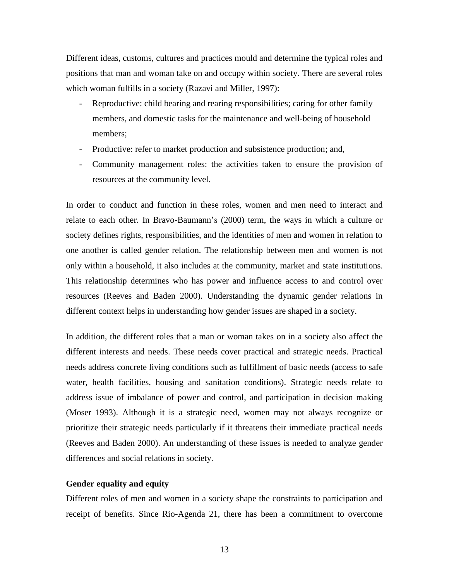Different ideas, customs, cultures and practices mould and determine the typical roles and positions that man and woman take on and occupy within society. There are several roles which woman fulfills in a society (Razavi and Miller, 1997):

- Reproductive: child bearing and rearing responsibilities; caring for other family members, and domestic tasks for the maintenance and well-being of household members;
- Productive: refer to market production and subsistence production; and,
- Community management roles: the activities taken to ensure the provision of resources at the community level.

In order to conduct and function in these roles, women and men need to interact and relate to each other. In Bravo-Baumann's (2000) term, the ways in which a culture or society defines rights, responsibilities, and the identities of men and women in relation to one another is called gender relation. The relationship between men and women is not only within a household, it also includes at the community, market and state institutions. This relationship determines who has power and influence access to and control over resources (Reeves and Baden 2000). Understanding the dynamic gender relations in different context helps in understanding how gender issues are shaped in a society.

In addition, the different roles that a man or woman takes on in a society also affect the different interests and needs. These needs cover practical and strategic needs. Practical needs address concrete living conditions such as fulfillment of basic needs (access to safe water, health facilities, housing and sanitation conditions). Strategic needs relate to address issue of imbalance of power and control, and participation in decision making (Moser 1993). Although it is a strategic need, women may not always recognize or prioritize their strategic needs particularly if it threatens their immediate practical needs (Reeves and Baden 2000). An understanding of these issues is needed to analyze gender differences and social relations in society.

#### **Gender equality and equity**

Different roles of men and women in a society shape the constraints to participation and receipt of benefits. Since Rio-Agenda 21, there has been a commitment to overcome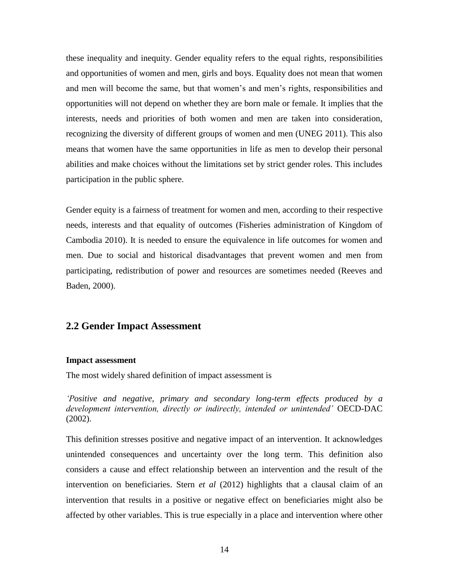these inequality and inequity. Gender equality refers to the equal rights, responsibilities and opportunities of women and men, girls and boys. Equality does not mean that women and men will become the same, but that women's and men's rights, responsibilities and opportunities will not depend on whether they are born male or female. It implies that the interests, needs and priorities of both women and men are taken into consideration, recognizing the diversity of different groups of women and men (UNEG 2011). This also means that women have the same opportunities in life as men to develop their personal abilities and make choices without the limitations set by strict gender roles. This includes participation in the public sphere.

Gender equity is a fairness of treatment for women and men, according to their respective needs, interests and that equality of outcomes (Fisheries administration of Kingdom of Cambodia 2010). It is needed to ensure the equivalence in life outcomes for women and men. Due to social and historical disadvantages that prevent women and men from participating, redistribution of power and resources are sometimes needed (Reeves and Baden, 2000).

#### **2.2 Gender Impact Assessment**

#### **Impact assessment**

The most widely shared definition of impact assessment is

*'Positive and negative, primary and secondary long-term effects produced by a development intervention, directly or indirectly, intended or unintended'* OECD-DAC (2002).

This definition stresses positive and negative impact of an intervention. It acknowledges unintended consequences and uncertainty over the long term. This definition also considers a cause and effect relationship between an intervention and the result of the intervention on beneficiaries. Stern *et al* (2012) highlights that a clausal claim of an intervention that results in a positive or negative effect on beneficiaries might also be affected by other variables. This is true especially in a place and intervention where other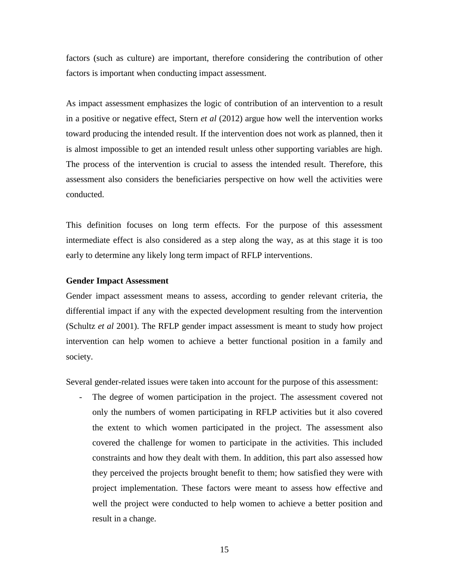factors (such as culture) are important, therefore considering the contribution of other factors is important when conducting impact assessment.

As impact assessment emphasizes the logic of contribution of an intervention to a result in a positive or negative effect, Stern *et al* (2012) argue how well the intervention works toward producing the intended result. If the intervention does not work as planned, then it is almost impossible to get an intended result unless other supporting variables are high. The process of the intervention is crucial to assess the intended result. Therefore, this assessment also considers the beneficiaries perspective on how well the activities were conducted.

This definition focuses on long term effects. For the purpose of this assessment intermediate effect is also considered as a step along the way, as at this stage it is too early to determine any likely long term impact of RFLP interventions.

#### **Gender Impact Assessment**

Gender impact assessment means to assess, according to gender relevant criteria, the differential impact if any with the expected development resulting from the intervention (Schultz *et al* 2001). The RFLP gender impact assessment is meant to study how project intervention can help women to achieve a better functional position in a family and society.

Several gender-related issues were taken into account for the purpose of this assessment:

- The degree of women participation in the project. The assessment covered not only the numbers of women participating in RFLP activities but it also covered the extent to which women participated in the project. The assessment also covered the challenge for women to participate in the activities. This included constraints and how they dealt with them. In addition, this part also assessed how they perceived the projects brought benefit to them; how satisfied they were with project implementation. These factors were meant to assess how effective and well the project were conducted to help women to achieve a better position and result in a change.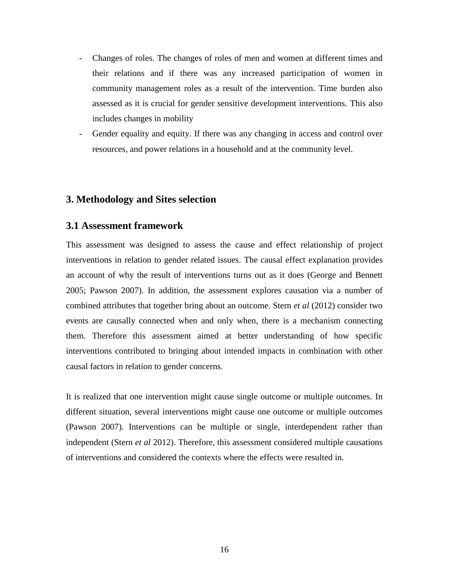- Changes of roles. The changes of roles of men and women at different times and their relations and if there was any increased participation of women in community management roles as a result of the intervention. Time burden also assessed as it is crucial for gender sensitive development interventions. This also includes changes in mobility
- Gender equality and equity. If there was any changing in access and control over resources, and power relations in a household and at the community level.

#### **3. Methodology and Sites selection**

#### **3.1 Assessment framework**

This assessment was designed to assess the cause and effect relationship of project interventions in relation to gender related issues. The causal effect explanation provides an account of why the result of interventions turns out as it does (George and Bennett 2005; Pawson 2007). In addition, the assessment explores causation via a number of combined attributes that together bring about an outcome. Stern *et al* (2012) consider two events are causally connected when and only when, there is a mechanism connecting them. Therefore this assessment aimed at better understanding of how specific interventions contributed to bringing about intended impacts in combination with other causal factors in relation to gender concerns.

It is realized that one intervention might cause single outcome or multiple outcomes. In different situation, several interventions might cause one outcome or multiple outcomes (Pawson 2007). Interventions can be multiple or single, interdependent rather than independent (Stern *et al* 2012). Therefore, this assessment considered multiple causations of interventions and considered the contexts where the effects were resulted in.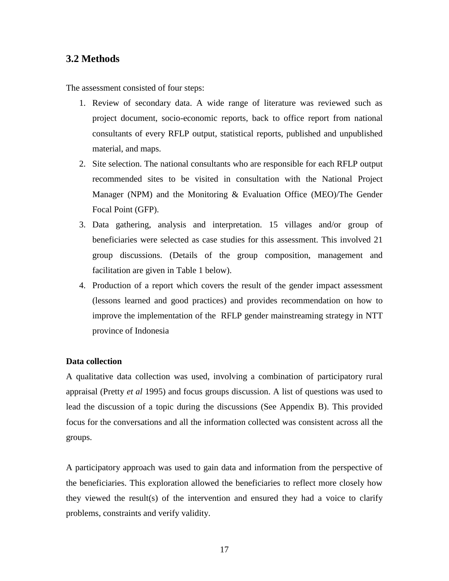## **3.2 Methods**

The assessment consisted of four steps:

- 1. Review of secondary data. A wide range of literature was reviewed such as project document, socio-economic reports, back to office report from national consultants of every RFLP output, statistical reports, published and unpublished material, and maps.
- 2. Site selection. The national consultants who are responsible for each RFLP output recommended sites to be visited in consultation with the National Project Manager (NPM) and the Monitoring & Evaluation Office (MEO)/The Gender Focal Point (GFP).
- 3. Data gathering, analysis and interpretation. 15 villages and/or group of beneficiaries were selected as case studies for this assessment. This involved 21 group discussions. (Details of the group composition, management and facilitation are given in Table 1 below).
- 4. Production of a report which covers the result of the gender impact assessment (lessons learned and good practices) and provides recommendation on how to improve the implementation of the RFLP gender mainstreaming strategy in NTT province of Indonesia

#### **Data collection**

A qualitative data collection was used, involving a combination of participatory rural appraisal (Pretty *et al* 1995) and focus groups discussion. A list of questions was used to lead the discussion of a topic during the discussions (See Appendix B). This provided focus for the conversations and all the information collected was consistent across all the groups.

A participatory approach was used to gain data and information from the perspective of the beneficiaries. This exploration allowed the beneficiaries to reflect more closely how they viewed the result(s) of the intervention and ensured they had a voice to clarify problems, constraints and verify validity.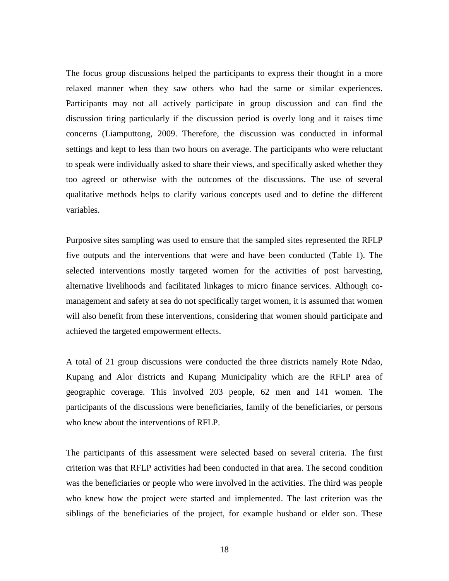The focus group discussions helped the participants to express their thought in a more relaxed manner when they saw others who had the same or similar experiences. Participants may not all actively participate in group discussion and can find the discussion tiring particularly if the discussion period is overly long and it raises time concerns (Liamputtong, 2009. Therefore, the discussion was conducted in informal settings and kept to less than two hours on average. The participants who were reluctant to speak were individually asked to share their views, and specifically asked whether they too agreed or otherwise with the outcomes of the discussions. The use of several qualitative methods helps to clarify various concepts used and to define the different variables.

Purposive sites sampling was used to ensure that the sampled sites represented the RFLP five outputs and the interventions that were and have been conducted (Table 1). The selected interventions mostly targeted women for the activities of post harvesting, alternative livelihoods and facilitated linkages to micro finance services. Although comanagement and safety at sea do not specifically target women, it is assumed that women will also benefit from these interventions, considering that women should participate and achieved the targeted empowerment effects.

A total of 21 group discussions were conducted the three districts namely Rote Ndao, Kupang and Alor districts and Kupang Municipality which are the RFLP area of geographic coverage. This involved 203 people, 62 men and 141 women. The participants of the discussions were beneficiaries, family of the beneficiaries, or persons who knew about the interventions of RFLP.

The participants of this assessment were selected based on several criteria. The first criterion was that RFLP activities had been conducted in that area. The second condition was the beneficiaries or people who were involved in the activities. The third was people who knew how the project were started and implemented. The last criterion was the siblings of the beneficiaries of the project, for example husband or elder son. These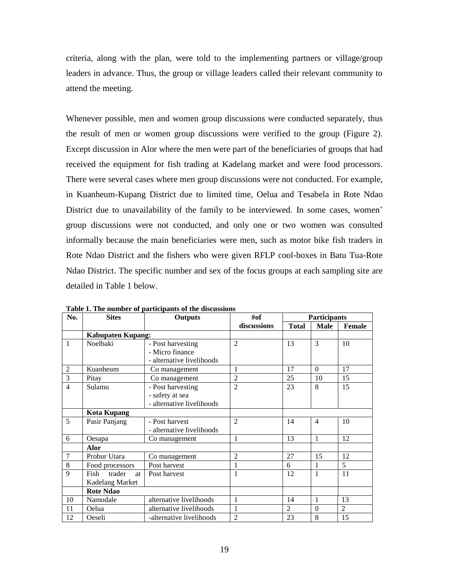criteria, along with the plan, were told to the implementing partners or village/group leaders in advance. Thus, the group or village leaders called their relevant community to attend the meeting.

Whenever possible, men and women group discussions were conducted separately, thus the result of men or women group discussions were verified to the group (Figure 2). Except discussion in Alor where the men were part of the beneficiaries of groups that had received the equipment for fish trading at Kadelang market and were food processors. There were several cases where men group discussions were not conducted. For example, in Kuanheum-Kupang District due to limited time, Oelua and Tesabela in Rote Ndao District due to unavailability of the family to be interviewed. In some cases, women' group discussions were not conducted, and only one or two women was consulted informally because the main beneficiaries were men, such as motor bike fish traders in Rote Ndao District and the fishers who were given RFLP cool-boxes in Batu Tua-Rote Ndao District. The specific number and sex of the focus groups at each sampling site are detailed in Table 1 below.

| No.            | <b>Sites</b>             | <b>Outputs</b>            | #of            | <b>Participants</b>         |                |                |
|----------------|--------------------------|---------------------------|----------------|-----------------------------|----------------|----------------|
|                |                          |                           | discussions    | <b>Total</b><br><b>Male</b> |                | Female         |
|                | <b>Kabupaten Kupang:</b> |                           |                |                             |                |                |
| $\mathbf{1}$   | Noelbaki                 | - Post harvesting         | $\overline{2}$ | 13                          | 3              | 10             |
|                |                          | - Micro finance           |                |                             |                |                |
|                |                          | - alternative livelihoods |                |                             |                |                |
| $\overline{2}$ | Kuanheum                 | Co management             | 1              | 17                          | $\Omega$       | 17             |
| 3              | Pitay                    | Co management             | $\overline{2}$ | 25                          | 10             | 15             |
| $\overline{4}$ | Sulamu                   | - Post harvesting         | $\overline{2}$ | 23                          | 8              | 15             |
|                |                          | - safety at sea           |                |                             |                |                |
|                |                          | - alternative livelihoods |                |                             |                |                |
|                | <b>Kota Kupang</b>       |                           |                |                             |                |                |
| 5              | Pasir Panjang            | - Post harvest            | $\mathcal{L}$  | 14                          | $\overline{4}$ | 10             |
|                |                          | - alternative livelihoods |                |                             |                |                |
| 6              | Oesapa                   | Co management             | 1              | 13                          | 1              | 12             |
|                | Alor                     |                           |                |                             |                |                |
| $\overline{7}$ | Probur Utara             | Co management             | $\overline{2}$ | 27                          | 15             | 12             |
| 8              | Food processors          | Post harvest              | 1              | 6                           | 1              | $\overline{5}$ |
| 9              | trader<br>Fish<br>at     | Post harvest              | 1              | 12                          | 1              | 11             |
|                | Kadelang Market          |                           |                |                             |                |                |
|                | <b>Rote Ndao</b>         |                           |                |                             |                |                |
| 10             | Namodale                 | alternative livelihoods   | $\mathbf 1$    | 14                          | 1              | 13             |
| 11             | Oelua                    | alternative livelihoods   | 1              | $\overline{2}$              | $\Omega$       | $\overline{2}$ |
| 12             | Oeseli                   | -alternative livelihoods  | $\overline{2}$ | 23                          | 8              | 15             |

**Table 1. The number of participants of the discussions**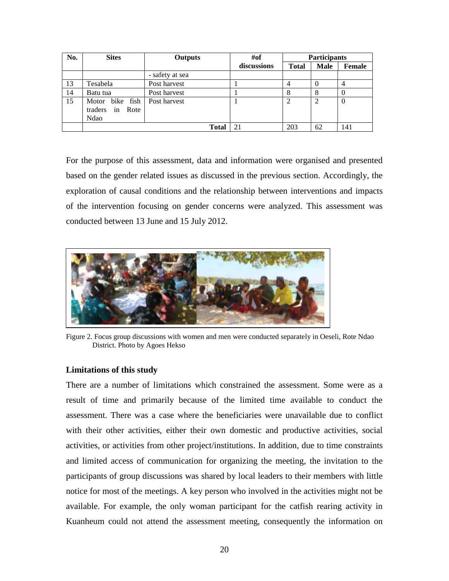| No. | <b>Sites</b>    | Outputs         | #of         |              | <b>Participants</b> |          |
|-----|-----------------|-----------------|-------------|--------------|---------------------|----------|
|     |                 |                 | discussions | <b>Total</b> | Male                | Female   |
|     |                 | - safety at sea |             |              |                     |          |
| 13  | Tesabela        | Post harvest    |             | 4            |                     | 4        |
| 14  | Batu tua        | Post harvest    |             | 8            |                     | $\theta$ |
| 15  | Motor bike fish | Post harvest    |             |              | 2                   | $\theta$ |
|     | traders in Rote |                 |             |              |                     |          |
|     | Ndao            |                 |             |              |                     |          |
|     |                 | Total           | 21          | 203          | 62                  | 141      |

For the purpose of this assessment, data and information were organised and presented based on the gender related issues as discussed in the previous section. Accordingly, the exploration of causal conditions and the relationship between interventions and impacts of the intervention focusing on gender concerns were analyzed. This assessment was conducted between 13 June and 15 July 2012.



Figure 2. Focus group discussions with women and men were conducted separately in Oeseli, Rote Ndao District. Photo by Agoes Hekso

#### **Limitations of this study**

There are a number of limitations which constrained the assessment. Some were as a result of time and primarily because of the limited time available to conduct the assessment. There was a case where the beneficiaries were unavailable due to conflict with their other activities, either their own domestic and productive activities, social activities, or activities from other project/institutions. In addition, due to time constraints and limited access of communication for organizing the meeting, the invitation to the participants of group discussions was shared by local leaders to their members with little notice for most of the meetings. A key person who involved in the activities might not be available. For example, the only woman participant for the catfish rearing activity in Kuanheum could not attend the assessment meeting, consequently the information on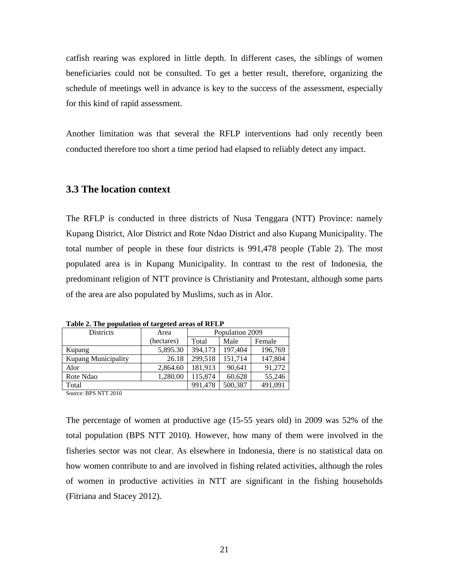catfish rearing was explored in little depth. In different cases, the siblings of women beneficiaries could not be consulted. To get a better result, therefore, organizing the schedule of meetings well in advance is key to the success of the assessment, especially for this kind of rapid assessment.

Another limitation was that several the RFLP interventions had only recently been conducted therefore too short a time period had elapsed to reliably detect any impact.

#### **3.3 The location context**

The RFLP is conducted in three districts of Nusa Tenggara (NTT) Province: namely Kupang District, Alor District and Rote Ndao District and also Kupang Municipality. The total number of people in these four districts is 991,478 people (Table 2). The most populated area is in Kupang Municipality. In contrast to the rest of Indonesia, the predominant religion of NTT province is Christianity and Protestant, although some parts of the area are also populated by Muslims, such as in Alor.

| .<br><b>Districts</b>      | Area       | Population 2009 |         |         |  |
|----------------------------|------------|-----------------|---------|---------|--|
|                            | (hectares) | Total           | Female  |         |  |
| Kupang                     | 5,895.30   | 394,173         | 197,404 | 196,769 |  |
| <b>Kupang Municipality</b> | 26.18      | 299,518         | 151,714 | 147,804 |  |
| Alor                       | 2,864.60   | 181.913         | 90,641  | 91,272  |  |
| Rote Ndao                  | 1,280.00   | 115.874         | 60,628  | 55,246  |  |
| Total                      | 991,478    | 500,387         | 491,091 |         |  |

**Table 2. The population of targeted areas of RFLP**

Source: BPS NTT 2010

The percentage of women at productive age (15-55 years old) in 2009 was 52% of the total population (BPS NTT 2010). However, how many of them were involved in the fisheries sector was not clear. As elsewhere in Indonesia, there is no statistical data on how women contribute to and are involved in fishing related activities, although the roles of women in productive activities in NTT are significant in the fishing households (Fitriana and Stacey 2012).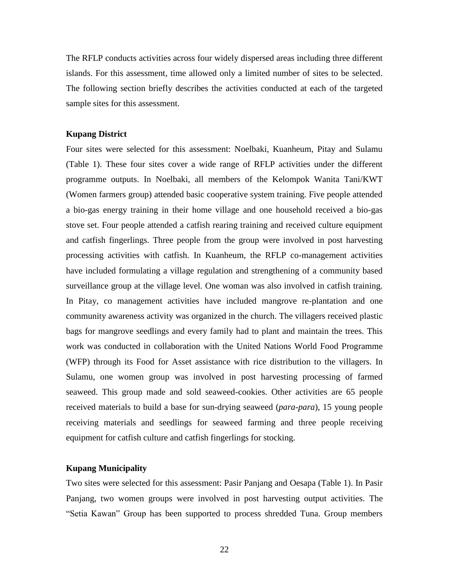The RFLP conducts activities across four widely dispersed areas including three different islands. For this assessment, time allowed only a limited number of sites to be selected. The following section briefly describes the activities conducted at each of the targeted sample sites for this assessment.

#### **Kupang District**

Four sites were selected for this assessment: Noelbaki, Kuanheum, Pitay and Sulamu (Table 1). These four sites cover a wide range of RFLP activities under the different programme outputs. In Noelbaki, all members of the Kelompok Wanita Tani/KWT (Women farmers group) attended basic cooperative system training. Five people attended a bio-gas energy training in their home village and one household received a bio-gas stove set. Four people attended a catfish rearing training and received culture equipment and catfish fingerlings. Three people from the group were involved in post harvesting processing activities with catfish. In Kuanheum, the RFLP co-management activities have included formulating a village regulation and strengthening of a community based surveillance group at the village level. One woman was also involved in catfish training. In Pitay, co management activities have included mangrove re-plantation and one community awareness activity was organized in the church. The villagers received plastic bags for mangrove seedlings and every family had to plant and maintain the trees. This work was conducted in collaboration with the United Nations World Food Programme (WFP) through its Food for Asset assistance with rice distribution to the villagers. In Sulamu, one women group was involved in post harvesting processing of farmed seaweed. This group made and sold seaweed-cookies. Other activities are 65 people received materials to build a base for sun-drying seaweed (*para-para*), 15 young people receiving materials and seedlings for seaweed farming and three people receiving equipment for catfish culture and catfish fingerlings for stocking.

#### **Kupang Municipality**

Two sites were selected for this assessment: Pasir Panjang and Oesapa (Table 1). In Pasir Panjang, two women groups were involved in post harvesting output activities. The "Setia Kawan" Group has been supported to process shredded Tuna. Group members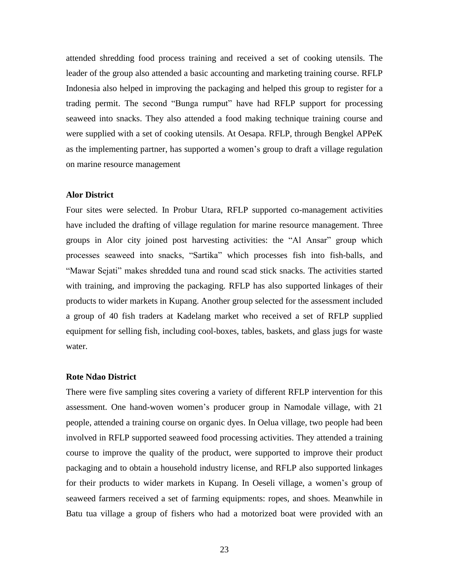attended shredding food process training and received a set of cooking utensils. The leader of the group also attended a basic accounting and marketing training course. RFLP Indonesia also helped in improving the packaging and helped this group to register for a trading permit. The second "Bunga rumput" have had RFLP support for processing seaweed into snacks. They also attended a food making technique training course and were supplied with a set of cooking utensils. At Oesapa. RFLP, through Bengkel APPeK as the implementing partner, has supported a women's group to draft a village regulation on marine resource management

#### **Alor District**

Four sites were selected. In Probur Utara, RFLP supported co-management activities have included the drafting of village regulation for marine resource management. Three groups in Alor city joined post harvesting activities: the "Al Ansar" group which processes seaweed into snacks, "Sartika" which processes fish into fish-balls, and "Mawar Sejati" makes shredded tuna and round scad stick snacks. The activities started with training, and improving the packaging. RFLP has also supported linkages of their products to wider markets in Kupang. Another group selected for the assessment included a group of 40 fish traders at Kadelang market who received a set of RFLP supplied equipment for selling fish, including cool-boxes, tables, baskets, and glass jugs for waste water.

#### **Rote Ndao District**

There were five sampling sites covering a variety of different RFLP intervention for this assessment. One hand-woven women's producer group in Namodale village, with 21 people, attended a training course on organic dyes. In Oelua village, two people had been involved in RFLP supported seaweed food processing activities. They attended a training course to improve the quality of the product, were supported to improve their product packaging and to obtain a household industry license, and RFLP also supported linkages for their products to wider markets in Kupang. In Oeseli village, a women's group of seaweed farmers received a set of farming equipments: ropes, and shoes. Meanwhile in Batu tua village a group of fishers who had a motorized boat were provided with an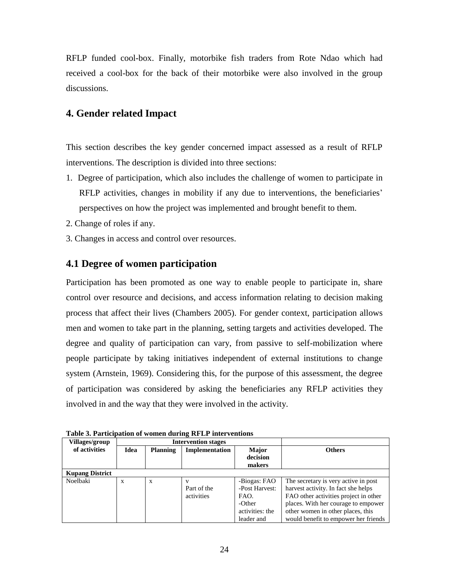RFLP funded cool-box. Finally, motorbike fish traders from Rote Ndao which had received a cool-box for the back of their motorbike were also involved in the group discussions.

## **4. Gender related Impact**

This section describes the key gender concerned impact assessed as a result of RFLP interventions. The description is divided into three sections:

- 1. Degree of participation, which also includes the challenge of women to participate in RFLP activities, changes in mobility if any due to interventions, the beneficiaries' perspectives on how the project was implemented and brought benefit to them.
- 2. Change of roles if any.
- 3. Changes in access and control over resources.

## **4.1 Degree of women participation**

Participation has been promoted as one way to enable people to participate in, share control over resource and decisions, and access information relating to decision making process that affect their lives (Chambers 2005). For gender context, participation allows men and women to take part in the planning, setting targets and activities developed. The degree and quality of participation can vary, from passive to self-mobilization where people participate by taking initiatives independent of external institutions to change system (Arnstein, 1969). Considering this, for the purpose of this assessment, the degree of participation was considered by asking the beneficiaries any RFLP activities they involved in and the way that they were involved in the activity.

|                        | Tuon of Turnomuon of Women aufnig in 111 mier (envolv |                 |                            |                 |                                       |  |  |  |  |
|------------------------|-------------------------------------------------------|-----------------|----------------------------|-----------------|---------------------------------------|--|--|--|--|
| <b>Villages/group</b>  |                                                       |                 | <b>Intervention stages</b> |                 |                                       |  |  |  |  |
| of activities          | Idea                                                  | <b>Planning</b> | <b>Implementation</b>      | <b>Major</b>    | <b>Others</b>                         |  |  |  |  |
|                        |                                                       |                 | decision                   |                 |                                       |  |  |  |  |
|                        |                                                       |                 |                            |                 |                                       |  |  |  |  |
|                        |                                                       |                 |                            | makers          |                                       |  |  |  |  |
| <b>Kupang District</b> |                                                       |                 |                            |                 |                                       |  |  |  |  |
| Noelbaki               | X                                                     | X               |                            | -Biogas: FAO    | The secretary is very active in post  |  |  |  |  |
|                        |                                                       |                 | Part of the                | -Post Harvest:  | harvest activity. In fact she helps   |  |  |  |  |
|                        |                                                       |                 | activities                 | FAO.            | FAO other activities project in other |  |  |  |  |
|                        |                                                       |                 | -Other                     |                 | places. With her courage to empower   |  |  |  |  |
|                        |                                                       |                 |                            | activities: the | other women in other places, this     |  |  |  |  |
|                        |                                                       |                 |                            | leader and      | would benefit to empower her friends  |  |  |  |  |

**Table 3. Participation of women during RFLP interventions**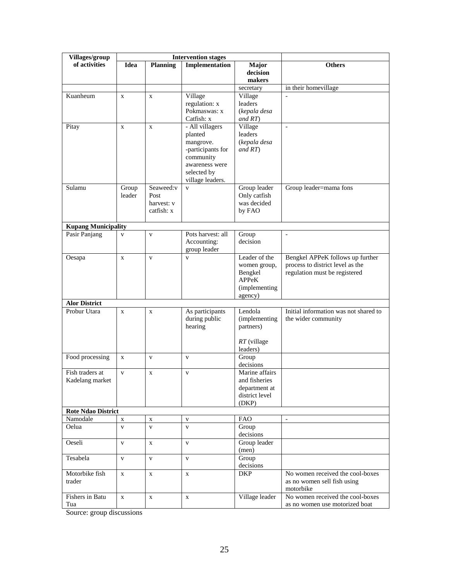| Villages/group                     |                 | <b>Intervention stages</b>                    |                                                                                                                                |                                                                               |                                                                                                       |
|------------------------------------|-----------------|-----------------------------------------------|--------------------------------------------------------------------------------------------------------------------------------|-------------------------------------------------------------------------------|-------------------------------------------------------------------------------------------------------|
| of activities                      | <b>Idea</b>     | <b>Planning</b>                               | Implementation                                                                                                                 | Major<br>decision<br>makers                                                   | <b>Others</b>                                                                                         |
|                                    |                 |                                               |                                                                                                                                | secretary                                                                     | in their homevillage                                                                                  |
| Kuanheum                           | $\mathbf{X}$    | $\mathbf{X}$                                  | Village<br>regulation: x<br>Pokmaswas: x<br>Catfish: x                                                                         | Village<br>leaders<br>(kepala desa<br>and RT)                                 | $\frac{1}{2}$                                                                                         |
| Pitay                              | $\mathbf{X}$    | $\mathbf{X}$                                  | - All villagers<br>planted<br>mangrove.<br>-participants for<br>community<br>awareness were<br>selected by<br>village leaders. | Village<br>leaders<br>(kepala desa<br>and RT)                                 | $\bar{\phantom{a}}$                                                                                   |
| Sulamu                             | Group<br>leader | Seaweed:v<br>Post<br>harvest: v<br>catfish: x | $\mathbf{v}$                                                                                                                   | Group leader<br>Only catfish<br>was decided<br>by FAO                         | Group leader=mama fons                                                                                |
| <b>Kupang Municipality</b>         |                 |                                               |                                                                                                                                |                                                                               |                                                                                                       |
| Pasir Panjang                      | $\mathbf{V}$    | $\mathbf{V}$                                  | Pots harvest: all<br>Accounting:<br>group leader                                                                               | Group<br>decision                                                             | $\bar{\phantom{a}}$                                                                                   |
| Oesapa                             | $\mathbf X$     | $\mathbf{V}$                                  | $\mathbf{V}$                                                                                                                   | Leader of the<br>women group,<br>Bengkel<br>APPeK<br>(implementing<br>agency) | Bengkel APPeK follows up further<br>process to district level as the<br>regulation must be registered |
| <b>Alor District</b>               |                 |                                               |                                                                                                                                |                                                                               |                                                                                                       |
| Probur Utara                       | X               | $\mathbf X$                                   | As participants<br>during public<br>hearing                                                                                    | Lendola<br>(implementing<br>partners)<br>$RT$ (village<br>leaders)            | Initial information was not shared to<br>the wider community                                          |
| Food processing                    | $\mathbf{X}$    | V                                             | $\mathbf{V}$                                                                                                                   | Group<br>decisions                                                            |                                                                                                       |
| Fish traders at<br>Kadelang market | $\mathbf{V}$    | X                                             | $\mathbf{V}$                                                                                                                   | Marine affairs<br>and fisheries<br>department at<br>district level<br>(DKP)   |                                                                                                       |
| <b>Rote Ndao District</b>          |                 |                                               |                                                                                                                                |                                                                               |                                                                                                       |
| Namodale                           | $\mathbf X$     | X                                             | $\mathbf{V}$                                                                                                                   | <b>FAO</b>                                                                    | $\blacksquare$                                                                                        |
| Oelua                              | $\mathbf{V}$    | $\mathbf{V}$                                  | $\mathbf{V}$                                                                                                                   | Group<br>decisions                                                            |                                                                                                       |
| Oeseli                             | $\mathbf{V}$    | X                                             | $\mathbf{V}$                                                                                                                   | Group leader<br>(men)                                                         |                                                                                                       |
| Tesabela                           | $\mathbf V$     | $\mathbf V$                                   | $\mathbf{V}$                                                                                                                   | Group<br>decisions                                                            |                                                                                                       |
| Motorbike fish<br>trader           | $\mathbf{X}$    | $\mathbf X$                                   | $\mathbf X$                                                                                                                    | <b>DKP</b>                                                                    | No women received the cool-boxes<br>as no women sell fish using<br>motorbike                          |
| Fishers in Batu<br>Tua             | $\mathbf{X}$    | $\mathbf X$                                   | $\mathbf x$                                                                                                                    | Village leader                                                                | No women received the cool-boxes<br>as no women use motorized boat                                    |

Source: group discussions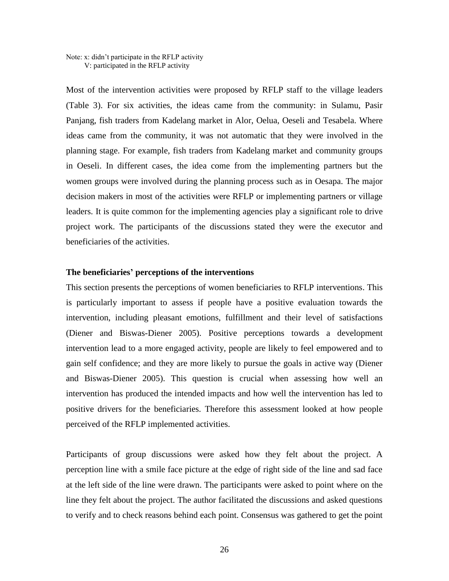#### Note: x: didn't participate in the RFLP activity V: participated in the RFLP activity

Most of the intervention activities were proposed by RFLP staff to the village leaders (Table 3). For six activities, the ideas came from the community: in Sulamu, Pasir Panjang, fish traders from Kadelang market in Alor, Oelua, Oeseli and Tesabela. Where ideas came from the community, it was not automatic that they were involved in the planning stage. For example, fish traders from Kadelang market and community groups in Oeseli. In different cases, the idea come from the implementing partners but the women groups were involved during the planning process such as in Oesapa. The major decision makers in most of the activities were RFLP or implementing partners or village leaders. It is quite common for the implementing agencies play a significant role to drive project work. The participants of the discussions stated they were the executor and beneficiaries of the activities.

#### **The beneficiaries' perceptions of the interventions**

This section presents the perceptions of women beneficiaries to RFLP interventions. This is particularly important to assess if people have a positive evaluation towards the intervention, including pleasant emotions, fulfillment and their level of satisfactions (Diener and Biswas-Diener 2005). Positive perceptions towards a development intervention lead to a more engaged activity, people are likely to feel empowered and to gain self confidence; and they are more likely to pursue the goals in active way (Diener and Biswas-Diener 2005). This question is crucial when assessing how well an intervention has produced the intended impacts and how well the intervention has led to positive drivers for the beneficiaries. Therefore this assessment looked at how people perceived of the RFLP implemented activities.

Participants of group discussions were asked how they felt about the project. A perception line with a smile face picture at the edge of right side of the line and sad face at the left side of the line were drawn. The participants were asked to point where on the line they felt about the project. The author facilitated the discussions and asked questions to verify and to check reasons behind each point. Consensus was gathered to get the point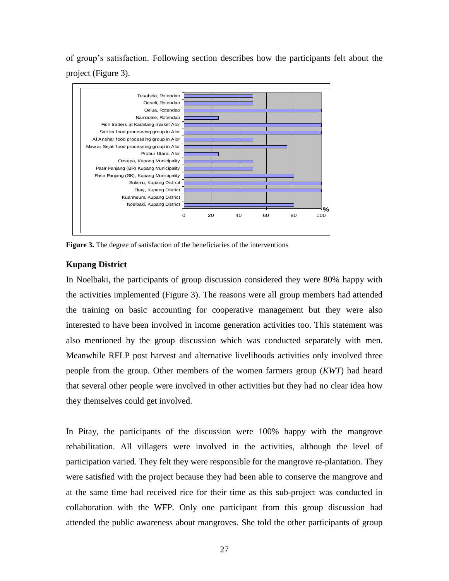of group's satisfaction. Following section describes how the participants felt about the project (Figure 3).



**Figure 3.** The degree of satisfaction of the beneficiaries of the interventions

#### **Kupang District**

In Noelbaki, the participants of group discussion considered they were 80% happy with the activities implemented (Figure 3). The reasons were all group members had attended the training on basic accounting for cooperative management but they were also interested to have been involved in income generation activities too. This statement was also mentioned by the group discussion which was conducted separately with men. Meanwhile RFLP post harvest and alternative livelihoods activities only involved three people from the group. Other members of the women farmers group (*KWT*) had heard that several other people were involved in other activities but they had no clear idea how they themselves could get involved.

In Pitay, the participants of the discussion were 100% happy with the mangrove rehabilitation. All villagers were involved in the activities, although the level of participation varied. They felt they were responsible for the mangrove re-plantation. They were satisfied with the project because they had been able to conserve the mangrove and at the same time had received rice for their time as this sub-project was conducted in collaboration with the WFP. Only one participant from this group discussion had attended the public awareness about mangroves. She told the other participants of group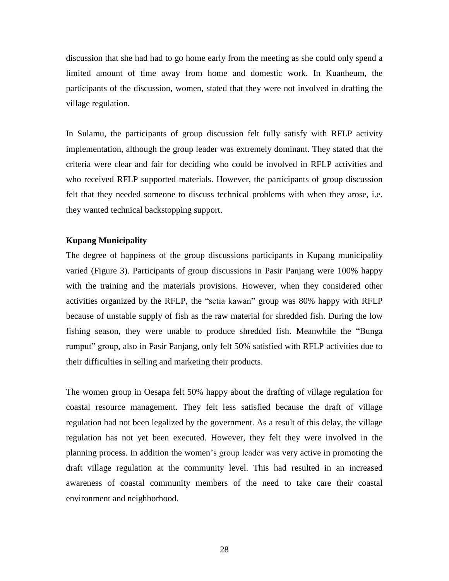discussion that she had had to go home early from the meeting as she could only spend a limited amount of time away from home and domestic work. In Kuanheum, the participants of the discussion, women, stated that they were not involved in drafting the village regulation.

In Sulamu, the participants of group discussion felt fully satisfy with RFLP activity implementation, although the group leader was extremely dominant. They stated that the criteria were clear and fair for deciding who could be involved in RFLP activities and who received RFLP supported materials. However, the participants of group discussion felt that they needed someone to discuss technical problems with when they arose, i.e. they wanted technical backstopping support.

#### **Kupang Municipality**

The degree of happiness of the group discussions participants in Kupang municipality varied (Figure 3). Participants of group discussions in Pasir Panjang were 100% happy with the training and the materials provisions. However, when they considered other activities organized by the RFLP, the "setia kawan" group was 80% happy with RFLP because of unstable supply of fish as the raw material for shredded fish. During the low fishing season, they were unable to produce shredded fish. Meanwhile the "Bunga rumput" group, also in Pasir Panjang, only felt 50% satisfied with RFLP activities due to their difficulties in selling and marketing their products.

The women group in Oesapa felt 50% happy about the drafting of village regulation for coastal resource management. They felt less satisfied because the draft of village regulation had not been legalized by the government. As a result of this delay, the village regulation has not yet been executed. However, they felt they were involved in the planning process. In addition the women's group leader was very active in promoting the draft village regulation at the community level. This had resulted in an increased awareness of coastal community members of the need to take care their coastal environment and neighborhood.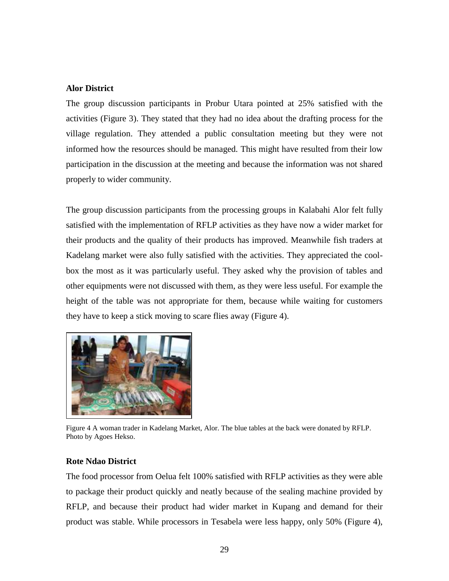#### **Alor District**

The group discussion participants in Probur Utara pointed at 25% satisfied with the activities (Figure 3). They stated that they had no idea about the drafting process for the village regulation. They attended a public consultation meeting but they were not informed how the resources should be managed. This might have resulted from their low participation in the discussion at the meeting and because the information was not shared properly to wider community.

The group discussion participants from the processing groups in Kalabahi Alor felt fully satisfied with the implementation of RFLP activities as they have now a wider market for their products and the quality of their products has improved. Meanwhile fish traders at Kadelang market were also fully satisfied with the activities. They appreciated the coolbox the most as it was particularly useful. They asked why the provision of tables and other equipments were not discussed with them, as they were less useful. For example the height of the table was not appropriate for them, because while waiting for customers they have to keep a stick moving to scare flies away (Figure 4).



Figure 4 A woman trader in Kadelang Market, Alor. The blue tables at the back were donated by RFLP. Photo by Agoes Hekso.

#### **Rote Ndao District**

The food processor from Oelua felt 100% satisfied with RFLP activities as they were able to package their product quickly and neatly because of the sealing machine provided by RFLP, and because their product had wider market in Kupang and demand for their product was stable. While processors in Tesabela were less happy, only 50% (Figure 4),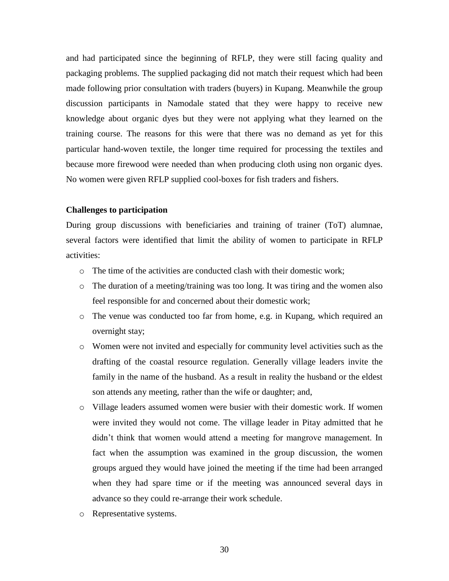and had participated since the beginning of RFLP, they were still facing quality and packaging problems. The supplied packaging did not match their request which had been made following prior consultation with traders (buyers) in Kupang. Meanwhile the group discussion participants in Namodale stated that they were happy to receive new knowledge about organic dyes but they were not applying what they learned on the training course. The reasons for this were that there was no demand as yet for this particular hand-woven textile, the longer time required for processing the textiles and because more firewood were needed than when producing cloth using non organic dyes. No women were given RFLP supplied cool-boxes for fish traders and fishers.

#### **Challenges to participation**

During group discussions with beneficiaries and training of trainer (ToT) alumnae, several factors were identified that limit the ability of women to participate in RFLP activities:

- o The time of the activities are conducted clash with their domestic work;
- o The duration of a meeting/training was too long. It was tiring and the women also feel responsible for and concerned about their domestic work;
- o The venue was conducted too far from home, e.g. in Kupang, which required an overnight stay;
- o Women were not invited and especially for community level activities such as the drafting of the coastal resource regulation. Generally village leaders invite the family in the name of the husband. As a result in reality the husband or the eldest son attends any meeting, rather than the wife or daughter; and,
- o Village leaders assumed women were busier with their domestic work. If women were invited they would not come. The village leader in Pitay admitted that he didn't think that women would attend a meeting for mangrove management. In fact when the assumption was examined in the group discussion, the women groups argued they would have joined the meeting if the time had been arranged when they had spare time or if the meeting was announced several days in advance so they could re-arrange their work schedule.
- o Representative systems.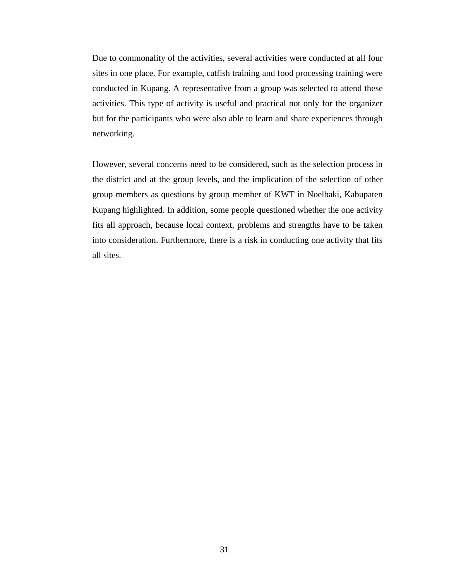Due to commonality of the activities, several activities were conducted at all four sites in one place. For example, catfish training and food processing training were conducted in Kupang. A representative from a group was selected to attend these activities. This type of activity is useful and practical not only for the organizer but for the participants who were also able to learn and share experiences through networking.

However, several concerns need to be considered, such as the selection process in the district and at the group levels, and the implication of the selection of other group members as questions by group member of KWT in Noelbaki, Kabupaten Kupang highlighted. In addition, some people questioned whether the one activity fits all approach, because local context, problems and strengths have to be taken into consideration. Furthermore, there is a risk in conducting one activity that fits all sites.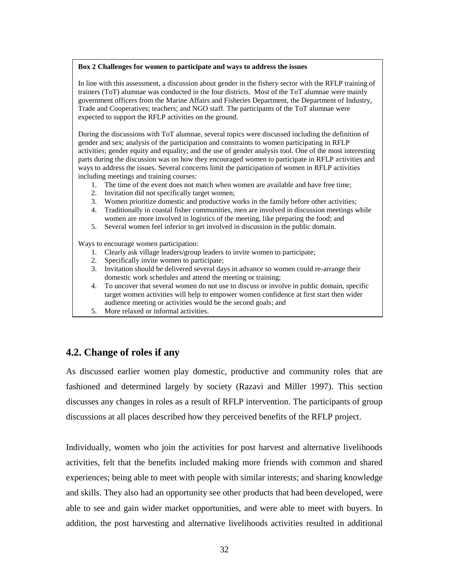#### **Box 2 Challenges for women to participate and ways to address the issues**

In line with this assessment, a discussion about gender in the fishery sector with the RFLP training of trainers (ToT) alumnae was conducted in the four districts. Most of the ToT alumnae were mainly government officers from the Marine Affairs and Fisheries Department, the Department of Industry, Trade and Cooperatives; teachers; and NGO staff. The participants of the ToT alumnae were expected to support the RFLP activities on the ground.

During the discussions with ToT alumnae, several topics were discussed including the definition of gender and sex; analysis of the participation and constraints to women participating in RFLP activities; gender equity and equality; and the use of gender analysis tool. One of the most interesting parts during the discussion was on how they encouraged women to participate in RFLP activities and ways to address the issues. Several concerns limit the participation of women in RFLP activities including meetings and training courses:

- 1. The time of the event does not match when women are available and have free time;
- 2. Invitation did not specifically target women;
- 3. Women prioritize domestic and productive works in the family before other activities;
- 4. Traditionally in coastal fisher communities, men are involved in discussion meetings while women are more involved in logistics of the meeting, like preparing the food; and
- 5. Several women feel inferior to get involved in discussion in the public domain.

Ways to encourage women participation:

- 1. Clearly ask village leaders/group leaders to invite women to participate;
- 2. Specifically invite women to participate;
- 3. Invitation should be delivered several days in advance so women could re-arrange their domestic work schedules and attend the meeting or training;
- 4. To uncover that several women do not use to discuss or involve in public domain, specific target women activities will help to empower women confidence at first start then wider audience meeting or activities would be the second goals; and
- 5. More relaxed or informal activities.

## **4.2. Change of roles if any**

As discussed earlier women play domestic, productive and community roles that are fashioned and determined largely by society (Razavi and Miller 1997). This section discusses any changes in roles as a result of RFLP intervention. The participants of group discussions at all places described how they perceived benefits of the RFLP project.

Individually, women who join the activities for post harvest and alternative livelihoods activities, felt that the benefits included making more friends with common and shared experiences; being able to meet with people with similar interests; and sharing knowledge and skills. They also had an opportunity see other products that had been developed, were able to see and gain wider market opportunities, and were able to meet with buyers. In addition, the post harvesting and alternative livelihoods activities resulted in additional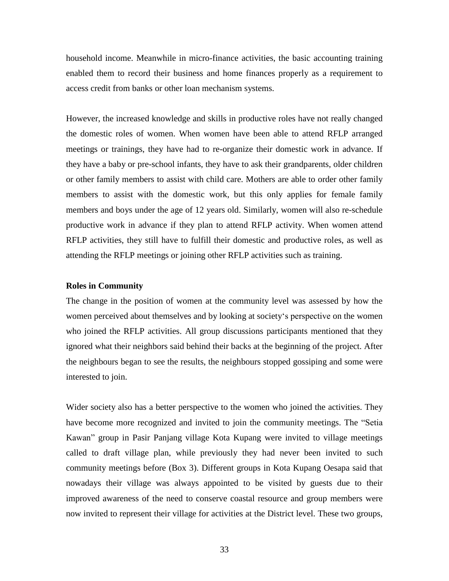household income. Meanwhile in micro-finance activities, the basic accounting training enabled them to record their business and home finances properly as a requirement to access credit from banks or other loan mechanism systems.

However, the increased knowledge and skills in productive roles have not really changed the domestic roles of women. When women have been able to attend RFLP arranged meetings or trainings, they have had to re-organize their domestic work in advance. If they have a baby or pre-school infants, they have to ask their grandparents, older children or other family members to assist with child care. Mothers are able to order other family members to assist with the domestic work, but this only applies for female family members and boys under the age of 12 years old. Similarly, women will also re-schedule productive work in advance if they plan to attend RFLP activity. When women attend RFLP activities, they still have to fulfill their domestic and productive roles, as well as attending the RFLP meetings or joining other RFLP activities such as training.

#### **Roles in Community**

The change in the position of women at the community level was assessed by how the women perceived about themselves and by looking at society's perspective on the women who joined the RFLP activities. All group discussions participants mentioned that they ignored what their neighbors said behind their backs at the beginning of the project. After the neighbours began to see the results, the neighbours stopped gossiping and some were interested to join.

Wider society also has a better perspective to the women who joined the activities. They have become more recognized and invited to join the community meetings. The "Setia Kawan" group in Pasir Panjang village Kota Kupang were invited to village meetings called to draft village plan, while previously they had never been invited to such community meetings before (Box 3). Different groups in Kota Kupang Oesapa said that nowadays their village was always appointed to be visited by guests due to their improved awareness of the need to conserve coastal resource and group members were now invited to represent their village for activities at the District level. These two groups,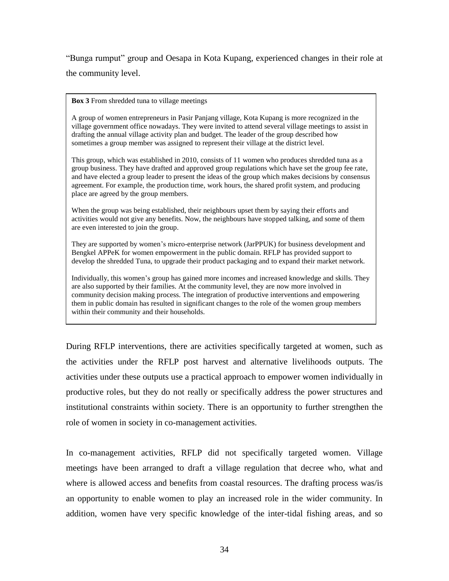"Bunga rumput" group and Oesapa in Kota Kupang, experienced changes in their role at the community level.

**Box 3** From shredded tuna to village meetings

A group of women entrepreneurs in Pasir Panjang village, Kota Kupang is more recognized in the village government office nowadays. They were invited to attend several village meetings to assist in drafting the annual village activity plan and budget. The leader of the group described how sometimes a group member was assigned to represent their village at the district level.

This group, which was established in 2010, consists of 11 women who produces shredded tuna as a group business. They have drafted and approved group regulations which have set the group fee rate, and have elected a group leader to present the ideas of the group which makes decisions by consensus agreement. For example, the production time, work hours, the shared profit system, and producing place are agreed by the group members.

When the group was being established, their neighbours upset them by saying their efforts and activities would not give any benefits. Now, the neighbours have stopped talking, and some of them are even interested to join the group.

They are supported by women's micro-enterprise network (JarPPUK) for business development and Bengkel APPeK for women empowerment in the public domain. RFLP has provided support to develop the shredded Tuna, to upgrade their product packaging and to expand their market network.

Individually, this women's group has gained more incomes and increased knowledge and skills. They are also supported by their families. At the community level, they are now more involved in community decision making process. The integration of productive interventions and empowering them in public domain has resulted in significant changes to the role of the women group members within their community and their households.

During RFLP interventions, there are activities specifically targeted at women, such as the activities under the RFLP post harvest and alternative livelihoods outputs. The activities under these outputs use a practical approach to empower women individually in productive roles, but they do not really or specifically address the power structures and institutional constraints within society. There is an opportunity to further strengthen the role of women in society in co-management activities.

In co-management activities, RFLP did not specifically targeted women. Village meetings have been arranged to draft a village regulation that decree who, what and where is allowed access and benefits from coastal resources. The drafting process was/is an opportunity to enable women to play an increased role in the wider community. In addition, women have very specific knowledge of the inter-tidal fishing areas, and so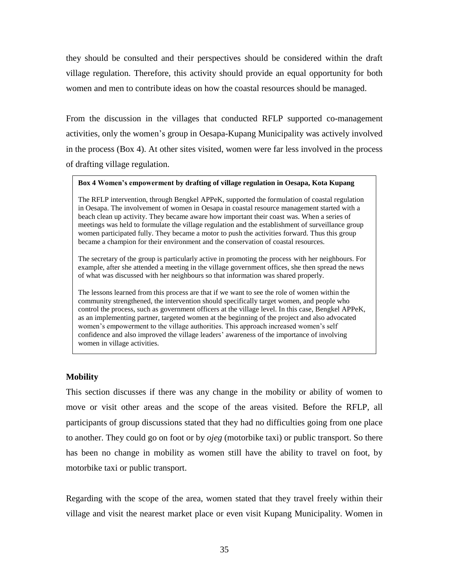they should be consulted and their perspectives should be considered within the draft village regulation. Therefore, this activity should provide an equal opportunity for both women and men to contribute ideas on how the coastal resources should be managed.

From the discussion in the villages that conducted RFLP supported co-management activities, only the women's group in Oesapa-Kupang Municipality was actively involved in the process (Box 4). At other sites visited, women were far less involved in the process of drafting village regulation.

#### **Box 4 Women's empowerment by drafting of village regulation in Oesapa, Kota Kupang**

The RFLP intervention, through Bengkel APPeK, supported the formulation of coastal regulation in Oesapa. The involvement of women in Oesapa in coastal resource management started with a beach clean up activity. They became aware how important their coast was. When a series of meetings was held to formulate the village regulation and the establishment of surveillance group women participated fully. They became a motor to push the activities forward. Thus this group became a champion for their environment and the conservation of coastal resources.

The secretary of the group is particularly active in promoting the process with her neighbours. For example, after she attended a meeting in the village government offices, she then spread the news of what was discussed with her neighbours so that information was shared properly.

The lessons learned from this process are that if we want to see the role of women within the community strengthened, the intervention should specifically target women, and people who control the process, such as government officers at the village level. In this case, Bengkel APPeK, as an implementing partner, targeted women at the beginning of the project and also advocated women's empowerment to the village authorities. This approach increased women's self confidence and also improved the village leaders' awareness of the importance of involving women in village activities.

#### **Mobility**

This section discusses if there was any change in the mobility or ability of women to move or visit other areas and the scope of the areas visited. Before the RFLP, all participants of group discussions stated that they had no difficulties going from one place to another. They could go on foot or by *ojeg* (motorbike taxi) or public transport. So there has been no change in mobility as women still have the ability to travel on foot, by motorbike taxi or public transport.

Regarding with the scope of the area, women stated that they travel freely within their village and visit the nearest market place or even visit Kupang Municipality. Women in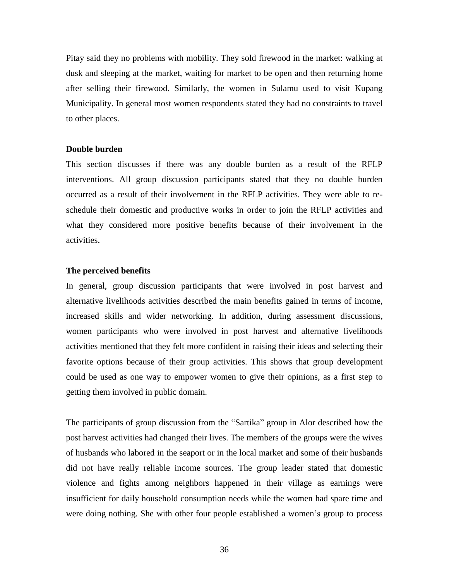Pitay said they no problems with mobility. They sold firewood in the market: walking at dusk and sleeping at the market, waiting for market to be open and then returning home after selling their firewood. Similarly, the women in Sulamu used to visit Kupang Municipality. In general most women respondents stated they had no constraints to travel to other places.

#### **Double burden**

This section discusses if there was any double burden as a result of the RFLP interventions. All group discussion participants stated that they no double burden occurred as a result of their involvement in the RFLP activities. They were able to reschedule their domestic and productive works in order to join the RFLP activities and what they considered more positive benefits because of their involvement in the activities.

#### **The perceived benefits**

In general, group discussion participants that were involved in post harvest and alternative livelihoods activities described the main benefits gained in terms of income, increased skills and wider networking. In addition, during assessment discussions, women participants who were involved in post harvest and alternative livelihoods activities mentioned that they felt more confident in raising their ideas and selecting their favorite options because of their group activities. This shows that group development could be used as one way to empower women to give their opinions, as a first step to getting them involved in public domain.

The participants of group discussion from the "Sartika" group in Alor described how the post harvest activities had changed their lives. The members of the groups were the wives of husbands who labored in the seaport or in the local market and some of their husbands did not have really reliable income sources. The group leader stated that domestic violence and fights among neighbors happened in their village as earnings were insufficient for daily household consumption needs while the women had spare time and were doing nothing. She with other four people established a women's group to process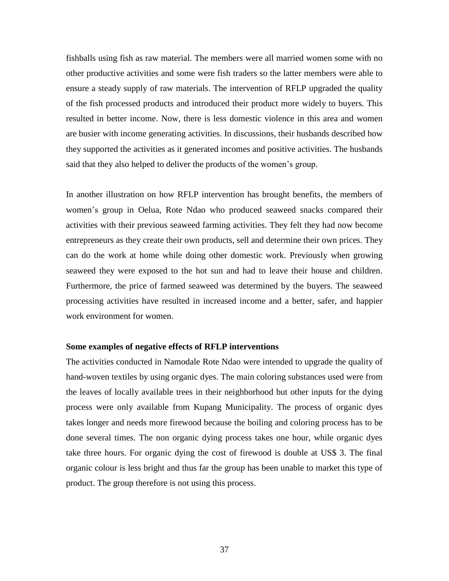fishballs using fish as raw material. The members were all married women some with no other productive activities and some were fish traders so the latter members were able to ensure a steady supply of raw materials. The intervention of RFLP upgraded the quality of the fish processed products and introduced their product more widely to buyers. This resulted in better income. Now, there is less domestic violence in this area and women are busier with income generating activities. In discussions, their husbands described how they supported the activities as it generated incomes and positive activities. The husbands said that they also helped to deliver the products of the women's group.

In another illustration on how RFLP intervention has brought benefits, the members of women's group in Oelua, Rote Ndao who produced seaweed snacks compared their activities with their previous seaweed farming activities. They felt they had now become entrepreneurs as they create their own products, sell and determine their own prices. They can do the work at home while doing other domestic work. Previously when growing seaweed they were exposed to the hot sun and had to leave their house and children. Furthermore, the price of farmed seaweed was determined by the buyers. The seaweed processing activities have resulted in increased income and a better, safer, and happier work environment for women.

#### **Some examples of negative effects of RFLP interventions**

The activities conducted in Namodale Rote Ndao were intended to upgrade the quality of hand-woven textiles by using organic dyes. The main coloring substances used were from the leaves of locally available trees in their neighborhood but other inputs for the dying process were only available from Kupang Municipality. The process of organic dyes takes longer and needs more firewood because the boiling and coloring process has to be done several times. The non organic dying process takes one hour, while organic dyes take three hours. For organic dying the cost of firewood is double at US\$ 3. The final organic colour is less bright and thus far the group has been unable to market this type of product. The group therefore is not using this process.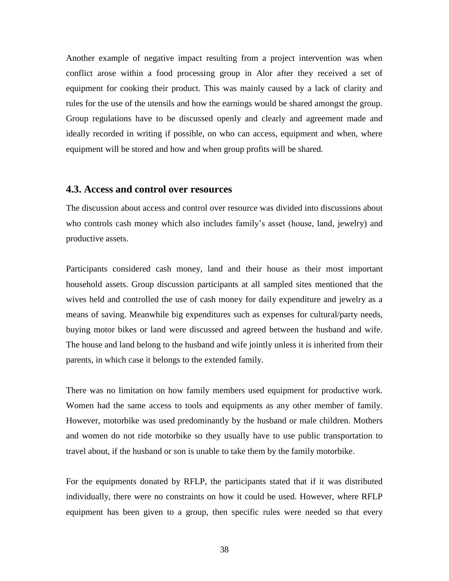Another example of negative impact resulting from a project intervention was when conflict arose within a food processing group in Alor after they received a set of equipment for cooking their product. This was mainly caused by a lack of clarity and rules for the use of the utensils and how the earnings would be shared amongst the group. Group regulations have to be discussed openly and clearly and agreement made and ideally recorded in writing if possible, on who can access, equipment and when, where equipment will be stored and how and when group profits will be shared.

#### **4.3. Access and control over resources**

The discussion about access and control over resource was divided into discussions about who controls cash money which also includes family's asset (house, land, jewelry) and productive assets.

Participants considered cash money, land and their house as their most important household assets. Group discussion participants at all sampled sites mentioned that the wives held and controlled the use of cash money for daily expenditure and jewelry as a means of saving. Meanwhile big expenditures such as expenses for cultural/party needs, buying motor bikes or land were discussed and agreed between the husband and wife. The house and land belong to the husband and wife jointly unless it is inherited from their parents, in which case it belongs to the extended family.

There was no limitation on how family members used equipment for productive work. Women had the same access to tools and equipments as any other member of family. However, motorbike was used predominantly by the husband or male children. Mothers and women do not ride motorbike so they usually have to use public transportation to travel about, if the husband or son is unable to take them by the family motorbike.

For the equipments donated by RFLP, the participants stated that if it was distributed individually, there were no constraints on how it could be used. However, where RFLP equipment has been given to a group, then specific rules were needed so that every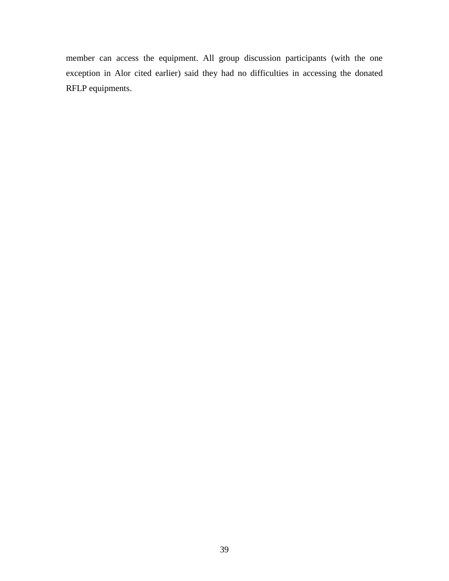member can access the equipment. All group discussion participants (with the one exception in Alor cited earlier) said they had no difficulties in accessing the donated RFLP equipments.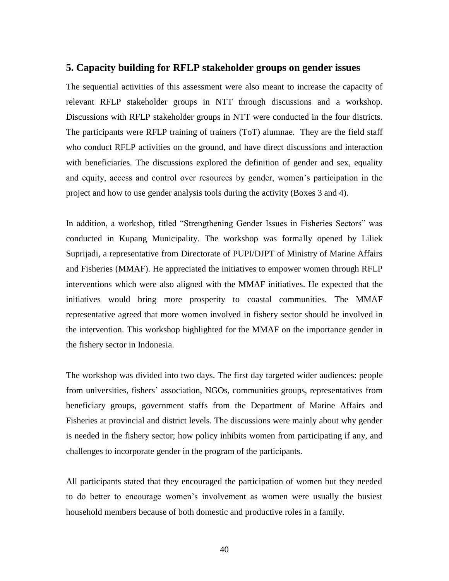#### **5. Capacity building for RFLP stakeholder groups on gender issues**

The sequential activities of this assessment were also meant to increase the capacity of relevant RFLP stakeholder groups in NTT through discussions and a workshop. Discussions with RFLP stakeholder groups in NTT were conducted in the four districts. The participants were RFLP training of trainers (ToT) alumnae. They are the field staff who conduct RFLP activities on the ground, and have direct discussions and interaction with beneficiaries. The discussions explored the definition of gender and sex, equality and equity, access and control over resources by gender, women's participation in the project and how to use gender analysis tools during the activity (Boxes 3 and 4).

In addition, a workshop, titled "Strengthening Gender Issues in Fisheries Sectors" was conducted in Kupang Municipality. The workshop was formally opened by Liliek Suprijadi, a representative from Directorate of PUPI/DJPT of Ministry of Marine Affairs and Fisheries (MMAF). He appreciated the initiatives to empower women through RFLP interventions which were also aligned with the MMAF initiatives. He expected that the initiatives would bring more prosperity to coastal communities. The MMAF representative agreed that more women involved in fishery sector should be involved in the intervention. This workshop highlighted for the MMAF on the importance gender in the fishery sector in Indonesia.

The workshop was divided into two days. The first day targeted wider audiences: people from universities, fishers' association, NGOs, communities groups, representatives from beneficiary groups, government staffs from the Department of Marine Affairs and Fisheries at provincial and district levels. The discussions were mainly about why gender is needed in the fishery sector; how policy inhibits women from participating if any, and challenges to incorporate gender in the program of the participants.

All participants stated that they encouraged the participation of women but they needed to do better to encourage women's involvement as women were usually the busiest household members because of both domestic and productive roles in a family.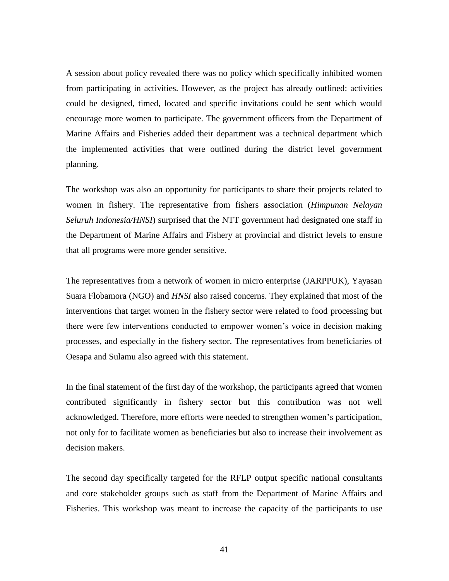A session about policy revealed there was no policy which specifically inhibited women from participating in activities. However, as the project has already outlined: activities could be designed, timed, located and specific invitations could be sent which would encourage more women to participate. The government officers from the Department of Marine Affairs and Fisheries added their department was a technical department which the implemented activities that were outlined during the district level government planning.

The workshop was also an opportunity for participants to share their projects related to women in fishery. The representative from fishers association (*Himpunan Nelayan Seluruh Indonesia/HNSI*) surprised that the NTT government had designated one staff in the Department of Marine Affairs and Fishery at provincial and district levels to ensure that all programs were more gender sensitive.

The representatives from a network of women in micro enterprise (JARPPUK), Yayasan Suara Flobamora (NGO) and *HNSI* also raised concerns. They explained that most of the interventions that target women in the fishery sector were related to food processing but there were few interventions conducted to empower women's voice in decision making processes, and especially in the fishery sector. The representatives from beneficiaries of Oesapa and Sulamu also agreed with this statement.

In the final statement of the first day of the workshop, the participants agreed that women contributed significantly in fishery sector but this contribution was not well acknowledged. Therefore, more efforts were needed to strengthen women's participation, not only for to facilitate women as beneficiaries but also to increase their involvement as decision makers.

The second day specifically targeted for the RFLP output specific national consultants and core stakeholder groups such as staff from the Department of Marine Affairs and Fisheries. This workshop was meant to increase the capacity of the participants to use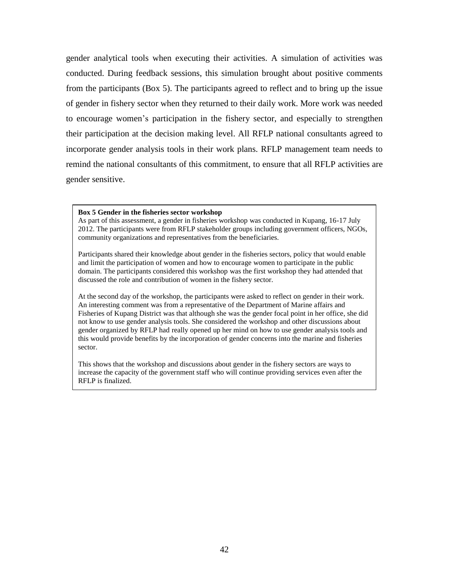gender analytical tools when executing their activities. A simulation of activities was conducted. During feedback sessions, this simulation brought about positive comments from the participants (Box 5). The participants agreed to reflect and to bring up the issue of gender in fishery sector when they returned to their daily work. More work was needed to encourage women's participation in the fishery sector, and especially to strengthen their participation at the decision making level. All RFLP national consultants agreed to incorporate gender analysis tools in their work plans. RFLP management team needs to remind the national consultants of this commitment, to ensure that all RFLP activities are gender sensitive.

#### **Box 5 Gender in the fisheries sector workshop**

As part of this assessment, a gender in fisheries workshop was conducted in Kupang, 16-17 July 2012. The participants were from RFLP stakeholder groups including government officers, NGOs, community organizations and representatives from the beneficiaries.

Participants shared their knowledge about gender in the fisheries sectors, policy that would enable and limit the participation of women and how to encourage women to participate in the public domain. The participants considered this workshop was the first workshop they had attended that discussed the role and contribution of women in the fishery sector.

At the second day of the workshop, the participants were asked to reflect on gender in their work. An interesting comment was from a representative of the Department of Marine affairs and Fisheries of Kupang District was that although she was the gender focal point in her office, she did not know to use gender analysis tools. She considered the workshop and other discussions about gender organized by RFLP had really opened up her mind on how to use gender analysis tools and this would provide benefits by the incorporation of gender concerns into the marine and fisheries sector.

This shows that the workshop and discussions about gender in the fishery sectors are ways to increase the capacity of the government staff who will continue providing services even after the RFLP is finalized.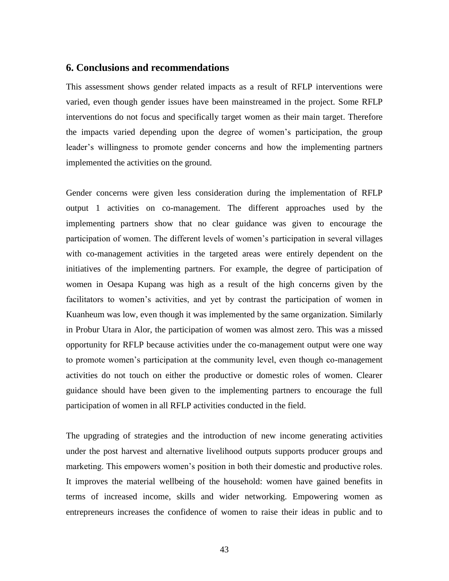#### **6. Conclusions and recommendations**

This assessment shows gender related impacts as a result of RFLP interventions were varied, even though gender issues have been mainstreamed in the project. Some RFLP interventions do not focus and specifically target women as their main target. Therefore the impacts varied depending upon the degree of women's participation, the group leader's willingness to promote gender concerns and how the implementing partners implemented the activities on the ground.

Gender concerns were given less consideration during the implementation of RFLP output 1 activities on co-management. The different approaches used by the implementing partners show that no clear guidance was given to encourage the participation of women. The different levels of women's participation in several villages with co-management activities in the targeted areas were entirely dependent on the initiatives of the implementing partners. For example, the degree of participation of women in Oesapa Kupang was high as a result of the high concerns given by the facilitators to women's activities, and yet by contrast the participation of women in Kuanheum was low, even though it was implemented by the same organization. Similarly in Probur Utara in Alor, the participation of women was almost zero. This was a missed opportunity for RFLP because activities under the co-management output were one way to promote women's participation at the community level, even though co-management activities do not touch on either the productive or domestic roles of women. Clearer guidance should have been given to the implementing partners to encourage the full participation of women in all RFLP activities conducted in the field.

The upgrading of strategies and the introduction of new income generating activities under the post harvest and alternative livelihood outputs supports producer groups and marketing. This empowers women's position in both their domestic and productive roles. It improves the material wellbeing of the household: women have gained benefits in terms of increased income, skills and wider networking. Empowering women as entrepreneurs increases the confidence of women to raise their ideas in public and to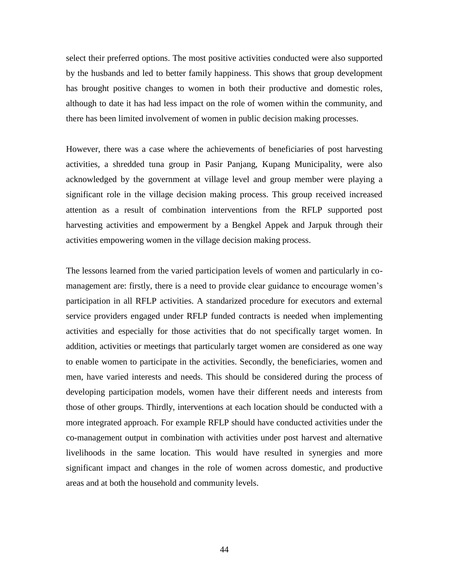select their preferred options. The most positive activities conducted were also supported by the husbands and led to better family happiness. This shows that group development has brought positive changes to women in both their productive and domestic roles, although to date it has had less impact on the role of women within the community, and there has been limited involvement of women in public decision making processes.

However, there was a case where the achievements of beneficiaries of post harvesting activities, a shredded tuna group in Pasir Panjang, Kupang Municipality, were also acknowledged by the government at village level and group member were playing a significant role in the village decision making process. This group received increased attention as a result of combination interventions from the RFLP supported post harvesting activities and empowerment by a Bengkel Appek and Jarpuk through their activities empowering women in the village decision making process.

The lessons learned from the varied participation levels of women and particularly in comanagement are: firstly, there is a need to provide clear guidance to encourage women's participation in all RFLP activities. A standarized procedure for executors and external service providers engaged under RFLP funded contracts is needed when implementing activities and especially for those activities that do not specifically target women. In addition, activities or meetings that particularly target women are considered as one way to enable women to participate in the activities. Secondly, the beneficiaries, women and men, have varied interests and needs. This should be considered during the process of developing participation models, women have their different needs and interests from those of other groups. Thirdly, interventions at each location should be conducted with a more integrated approach. For example RFLP should have conducted activities under the co-management output in combination with activities under post harvest and alternative livelihoods in the same location. This would have resulted in synergies and more significant impact and changes in the role of women across domestic, and productive areas and at both the household and community levels.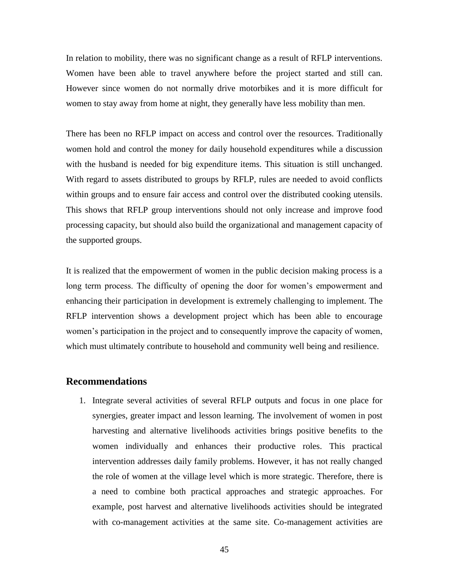In relation to mobility, there was no significant change as a result of RFLP interventions. Women have been able to travel anywhere before the project started and still can. However since women do not normally drive motorbikes and it is more difficult for women to stay away from home at night, they generally have less mobility than men.

There has been no RFLP impact on access and control over the resources. Traditionally women hold and control the money for daily household expenditures while a discussion with the husband is needed for big expenditure items. This situation is still unchanged. With regard to assets distributed to groups by RFLP, rules are needed to avoid conflicts within groups and to ensure fair access and control over the distributed cooking utensils. This shows that RFLP group interventions should not only increase and improve food processing capacity, but should also build the organizational and management capacity of the supported groups.

It is realized that the empowerment of women in the public decision making process is a long term process. The difficulty of opening the door for women's empowerment and enhancing their participation in development is extremely challenging to implement. The RFLP intervention shows a development project which has been able to encourage women's participation in the project and to consequently improve the capacity of women, which must ultimately contribute to household and community well being and resilience.

#### **Recommendations**

1. Integrate several activities of several RFLP outputs and focus in one place for synergies, greater impact and lesson learning. The involvement of women in post harvesting and alternative livelihoods activities brings positive benefits to the women individually and enhances their productive roles. This practical intervention addresses daily family problems. However, it has not really changed the role of women at the village level which is more strategic. Therefore, there is a need to combine both practical approaches and strategic approaches. For example, post harvest and alternative livelihoods activities should be integrated with co-management activities at the same site. Co-management activities are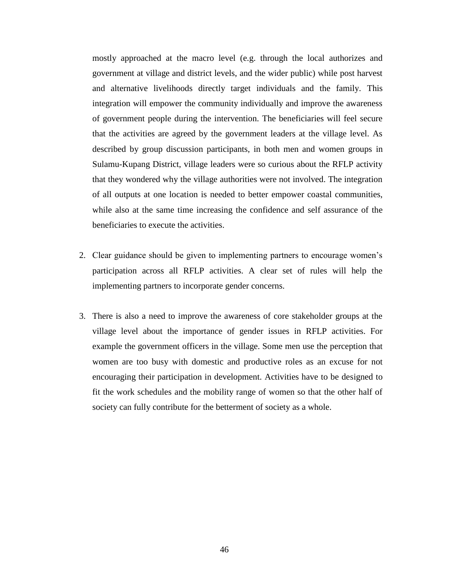mostly approached at the macro level (e.g. through the local authorizes and government at village and district levels, and the wider public) while post harvest and alternative livelihoods directly target individuals and the family. This integration will empower the community individually and improve the awareness of government people during the intervention. The beneficiaries will feel secure that the activities are agreed by the government leaders at the village level. As described by group discussion participants, in both men and women groups in Sulamu-Kupang District, village leaders were so curious about the RFLP activity that they wondered why the village authorities were not involved. The integration of all outputs at one location is needed to better empower coastal communities, while also at the same time increasing the confidence and self assurance of the beneficiaries to execute the activities.

- 2. Clear guidance should be given to implementing partners to encourage women's participation across all RFLP activities. A clear set of rules will help the implementing partners to incorporate gender concerns.
- 3. There is also a need to improve the awareness of core stakeholder groups at the village level about the importance of gender issues in RFLP activities. For example the government officers in the village. Some men use the perception that women are too busy with domestic and productive roles as an excuse for not encouraging their participation in development. Activities have to be designed to fit the work schedules and the mobility range of women so that the other half of society can fully contribute for the betterment of society as a whole.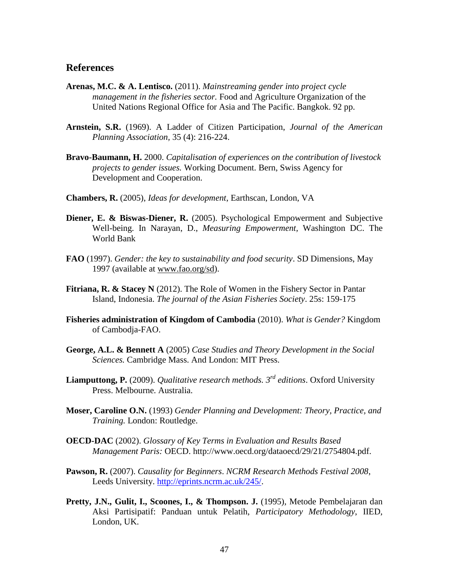## **References**

- **Arenas, M.C. & A. Lentisco.** (2011). *Mainstreaming gender into project cycle management in the fisheries sector.* Food and Agriculture Organization of the United Nations Regional Office for Asia and The Pacific. Bangkok. 92 pp.
- **Arnstein, S.R.** (1969). A Ladder of Citizen Participation, *Journal of the American Planning Association,* 35 (4): 216-224.
- **Bravo-Baumann, H.** 2000. *Capitalisation of experiences on the contribution of livestock projects to gender issues.* Working Document. Bern, Swiss Agency for Development and Cooperation.
- **Chambers, R.** (2005), *Ideas for development*, Earthscan, London, VA
- **Diener, E. & Biswas-Diener, R.** (2005). Psychological Empowerment and Subjective Well-being. In Narayan, D., *Measuring Empowerment,* Washington DC. The World Bank
- **FAO** (1997). *Gender: the key to sustainability and food security*. SD Dimensions, May 1997 (available at [www.fao.org/sd\)](http://www.fao.org/sd).
- **Fitriana, R. & Stacey N** (2012). The Role of Women in the Fishery Sector in Pantar Island, Indonesia. *The journal of the Asian Fisheries Society*. 25s: 159-175
- **Fisheries administration of Kingdom of Cambodia** (2010). *What is Gender?* Kingdom of Cambodja-FAO.
- **George, A.L. & Bennett A** (2005) *Case Studies and Theory Development in the Social Sciences.* Cambridge Mass. And London: MIT Press.
- **Liamputtong, P.** (2009). *Qualitative research methods. 3rd editions*. Oxford University Press. Melbourne. Australia.
- **Moser, Caroline O.N.** (1993) *Gender Planning and Development: Theory, Practice, and Training.* London: Routledge.
- **OECD-DAC** (2002). *Glossary of Key Terms in Evaluation and Results Based Management Paris:* OECD. http://www.oecd.org/dataoecd/29/21/2754804.pdf.
- **Pawson, R.** (2007). *Causality for Beginners*. *NCRM Research Methods Festival 2008*, Leeds University. [http://eprints.ncrm.ac.uk/245/.](http://eprints.ncrm.ac.uk/245/)
- **Pretty, J.N., Gulit, I., Scoones, I., & Thompson. J.** (1995), Metode Pembelajaran dan Aksi Partisipatif: Panduan untuk Pelatih, *Participatory Methodology*, IIED, London, UK.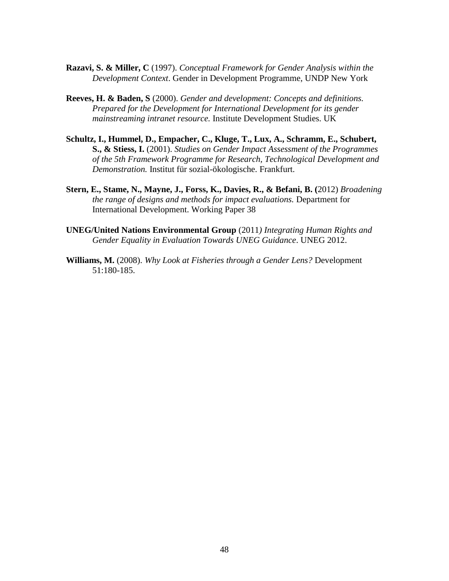- **Razavi, S. & Miller, C** (1997). *Conceptual Framework for Gender Analysis within the Development Context*. Gender in Development Programme, UNDP New York
- **Reeves, H. & Baden, S** (2000). *Gender and development: Concepts and definitions. Prepared for the Development for International Development for its gender mainstreaming intranet resource.* Institute Development Studies. UK
- **Schultz, I., Hummel, D., Empacher, C., Kluge, T., Lux, A., Schramm, E., Schubert, S., & Stiess, I.** (2001). *Studies on Gender Impact Assessment of the Programmes of the 5th Framework Programme for Research, Technological Development and Demonstration.* Institut für sozial-ökologische. Frankfurt.
- **Stern, E., Stame, N., Mayne, J., Forss, K., Davies, R., & Befani, B. (**2012) *Broadening the range of designs and methods for impact evaluations.* Department for International Development. Working Paper 38
- **UNEG/United Nations Environmental Group** (2011*) Integrating Human Rights and Gender Equality in Evaluation Towards UNEG Guidance*. UNEG 2012.
- **Williams, M.** (2008). *Why Look at Fisheries through a Gender Lens?* Development 51:180-185.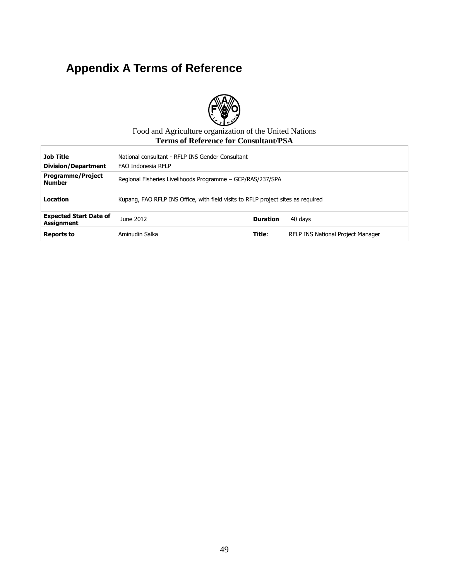# **Appendix A Terms of Reference**



#### Food and Agriculture organization of the United Nations **Terms of Reference for Consultant/PSA**

| <b>Job Title</b>                            | National consultant - RFLP INS Gender Consultant                                 |                 |                                   |  |  |  |
|---------------------------------------------|----------------------------------------------------------------------------------|-----------------|-----------------------------------|--|--|--|
| <b>Division/Department</b>                  | FAO Indonesia RFLP                                                               |                 |                                   |  |  |  |
| <b>Programme/Project</b><br><b>Number</b>   | Regional Fisheries Livelihoods Programme - GCP/RAS/237/SPA                       |                 |                                   |  |  |  |
| Location                                    | Kupang, FAO RFLP INS Office, with field visits to RFLP project sites as required |                 |                                   |  |  |  |
| <b>Expected Start Date of</b><br>Assignment | June 2012                                                                        | <b>Duration</b> | 40 days                           |  |  |  |
| <b>Reports to</b>                           | Aminudin Salka                                                                   | Title:          | RFLP INS National Project Manager |  |  |  |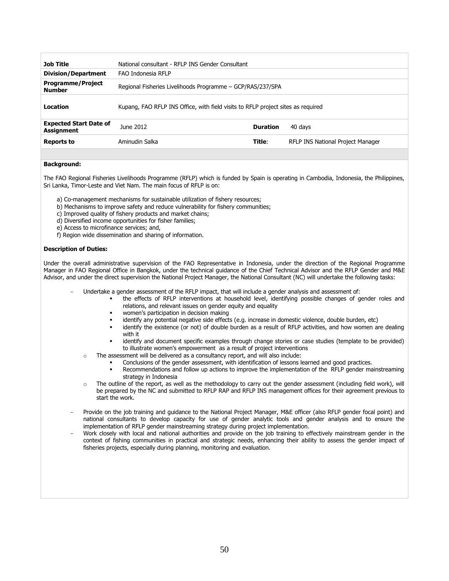| <b>Job Title</b>                                   | National consultant - RFLP INS Gender Consultant |                                                                                  |                                   |  |  |  |
|----------------------------------------------------|--------------------------------------------------|----------------------------------------------------------------------------------|-----------------------------------|--|--|--|
| <b>Division/Department</b>                         | FAO Indonesia RFLP                               |                                                                                  |                                   |  |  |  |
| <b>Programme/Project</b><br><b>Number</b>          |                                                  | Regional Fisheries Livelihoods Programme - GCP/RAS/237/SPA                       |                                   |  |  |  |
| Location                                           |                                                  | Kupang, FAO RFLP INS Office, with field visits to RFLP project sites as required |                                   |  |  |  |
| <b>Expected Start Date of</b><br><b>Assignment</b> | June 2012                                        | <b>Duration</b>                                                                  | 40 days                           |  |  |  |
| <b>Reports to</b>                                  | Aminudin Salka                                   | Title:                                                                           | RFLP INS National Project Manager |  |  |  |

## *neral Description of task(s) and objectives to be achieved* **Background:**

The FAO Regional Fisheries Livelihoods Programme (RFLP) which is funded by Spain is operating in Cambodia, Indonesia, the Philippines, Sri Lanka, Timor-Leste and Viet Nam. The main focus of RFLP is on:

- a) Co-management mechanisms for sustainable utilization of fishery resources;
- b) Mechanisms to improve safety and reduce vulnerability for fishery communities;
- c) Improved quality of fishery products and market chains;
- d) Diversified income opportunities for fisher families;
- e) Access to microfinance services; and,
- f) Region wide dissemination and sharing of information.

#### **Description of Duties:**

Under the overall administrative supervision of the FAO Representative in Indonesia, under the direction of the Regional Programme Manager in FAO Regional Office in Bangkok, under the technical guidance of the Chief Technical Advisor and the RFLP Gender and M&E Advisor, and under the direct supervision the National Project Manager, the National Consultant (NC) will undertake the following tasks:

- Undertake a gender assessment of the RFLP impact, that will include a gender analysis and assessment of:
	- the effects of RFLP interventions at household level, identifying possible changes of gender roles and relations, and relevant issues on gender equity and equality
	- women's participation in decision making
	- identify any potential negative side effects (e.g. increase in domestic violence, double burden, etc)
	- identify the existence (or not) of double burden as a result of RFLP activities, and how women are dealing with it
	- identify and document specific examples through change stories or case studies (template to be provided) to illustrate women's empowerment as a result of project interventions
	- o The assessment will be delivered as a consultancy report, and will also include:
		- Conclusions of the gender assessment, with identification of lessons learned and good practices.
		- Recommendations and follow up actions to improve the implementation of the RFLP gender mainstreaming strategy in Indonesia
	- $\circ$  The outline of the report, as well as the methodology to carry out the gender assessment (including field work), will be prepared by the NC and submitted to RFLP RAP and RFLP INS management offices for their agreement previous to start the work.
- Provide on the job training and guidance to the National Project Manager, M&E officer (also RFLP gender focal point) and national consultants to develop capacity for use of gender analytic tools and gender analysis and to ensure the implementation of RFLP gender mainstreaming strategy during project implementation.
- Work closely with local and national authorities and provide on the job training to effectively mainstream gender in the context of fishing communities in practical and strategic needs, enhancing their ability to assess the gender impact of fisheries projects, especially during planning, monitoring and evaluation.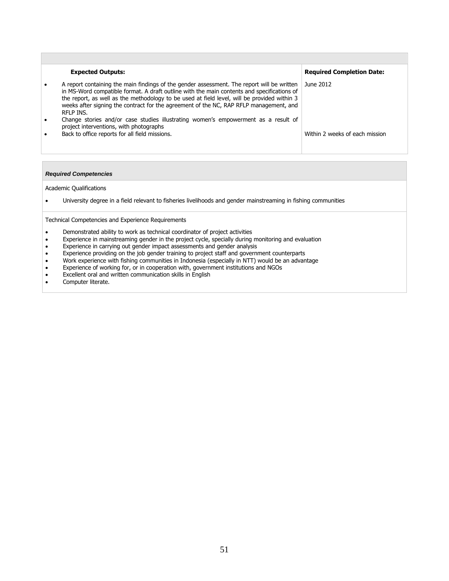| <b>Expected Outputs:</b>                                                                                                                                                                                                                                                                                                                                                                       | <b>Required Completion Date:</b> |
|------------------------------------------------------------------------------------------------------------------------------------------------------------------------------------------------------------------------------------------------------------------------------------------------------------------------------------------------------------------------------------------------|----------------------------------|
| A report containing the main findings of the gender assessment. The report will be written<br>in MS-Word compatible format. A draft outline with the main contents and specifications of<br>the report, as well as the methodology to be used at field level, will be provided within 3<br>weeks after signing the contract for the agreement of the NC, RAP RFLP management, and<br>RFLP INS. | June 2012                        |
| Change stories and/or case studies illustrating women's empowerment as a result of<br>project interventions, with photographs                                                                                                                                                                                                                                                                  |                                  |
| Back to office reports for all field missions.                                                                                                                                                                                                                                                                                                                                                 | Within 2 weeks of each mission   |

#### *Required Competencies*

Academic Qualifications

University degree in a field relevant to fisheries livelihoods and gender mainstreaming in fishing communities

Technical Competencies and Experience Requirements

- Demonstrated ability to work as technical coordinator of project activities
- Experience in mainstreaming gender in the project cycle, specially during monitoring and evaluation
- Experience in carrying out gender impact assessments and gender analysis
- Experience providing on the job gender training to project staff and government counterparts
- Work experience with fishing communities in Indonesia (especially in NTT) would be an advantage
- Experience of working for, or in cooperation with, government institutions and NGOs
- Excellent oral and written communication skills in English<br>• Computer literate
- Computer literate.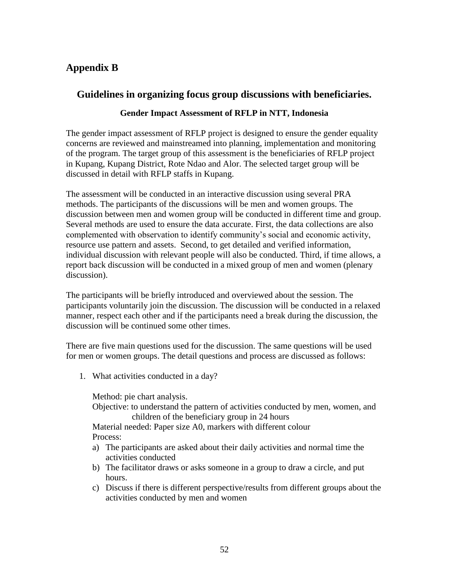## **Appendix B**

## **Guidelines in organizing focus group discussions with beneficiaries.**

## **Gender Impact Assessment of RFLP in NTT, Indonesia**

The gender impact assessment of RFLP project is designed to ensure the gender equality concerns are reviewed and mainstreamed into planning, implementation and monitoring of the program. The target group of this assessment is the beneficiaries of RFLP project in Kupang, Kupang District, Rote Ndao and Alor. The selected target group will be discussed in detail with RFLP staffs in Kupang.

The assessment will be conducted in an interactive discussion using several PRA methods. The participants of the discussions will be men and women groups. The discussion between men and women group will be conducted in different time and group. Several methods are used to ensure the data accurate. First, the data collections are also complemented with observation to identify community's social and economic activity, resource use pattern and assets. Second, to get detailed and verified information, individual discussion with relevant people will also be conducted. Third, if time allows, a report back discussion will be conducted in a mixed group of men and women (plenary discussion).

The participants will be briefly introduced and overviewed about the session. The participants voluntarily join the discussion. The discussion will be conducted in a relaxed manner, respect each other and if the participants need a break during the discussion, the discussion will be continued some other times.

There are five main questions used for the discussion. The same questions will be used for men or women groups. The detail questions and process are discussed as follows:

1. What activities conducted in a day?

Method: pie chart analysis. Objective: to understand the pattern of activities conducted by men, women, and children of the beneficiary group in 24 hours Material needed: Paper size A0, markers with different colour Process:

- a) The participants are asked about their daily activities and normal time the activities conducted
- b) The facilitator draws or asks someone in a group to draw a circle, and put hours.
- c) Discuss if there is different perspective/results from different groups about the activities conducted by men and women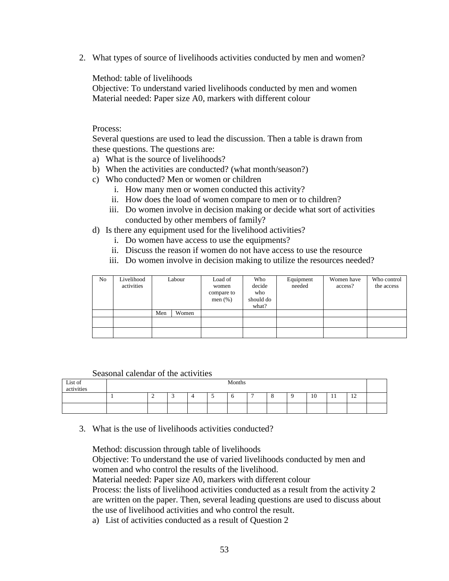2. What types of source of livelihoods activities conducted by men and women?

Method: table of livelihoods

Objective: To understand varied livelihoods conducted by men and women Material needed: Paper size A0, markers with different colour

#### Process:

Several questions are used to lead the discussion. Then a table is drawn from these questions. The questions are:

- a) What is the source of livelihoods?
- b) When the activities are conducted? (what month/season?)
- c) Who conducted? Men or women or children
	- i. How many men or women conducted this activity?
	- ii. How does the load of women compare to men or to children?
	- iii. Do women involve in decision making or decide what sort of activities conducted by other members of family?
- d) Is there any equipment used for the livelihood activities?
	- i. Do women have access to use the equipments?
	- ii. Discuss the reason if women do not have access to use the resource
	- iii. Do women involve in decision making to utilize the resources needed?

| No | Livelihood<br>activities |     | Labour | Load of<br>women<br>compare to<br>men $(\%)$ | Who<br>decide<br>who<br>should do<br>what? | Equipment<br>needed | Women have<br>access? | Who control<br>the access |
|----|--------------------------|-----|--------|----------------------------------------------|--------------------------------------------|---------------------|-----------------------|---------------------------|
|    |                          | Men | Women  |                                              |                                            |                     |                       |                           |
|    |                          |     |        |                                              |                                            |                     |                       |                           |
|    |                          |     |        |                                              |                                            |                     |                       |                           |

#### Seasonal calendar of the activities

| List of<br>activities | Months |  |  |  |  |  |   |  |    |       |                |  |
|-----------------------|--------|--|--|--|--|--|---|--|----|-------|----------------|--|
|                       |        |  |  |  |  |  | - |  | 10 | $\pm$ | $\overline{1}$ |  |
|                       |        |  |  |  |  |  |   |  |    |       |                |  |

3. What is the use of livelihoods activities conducted?

Method: discussion through table of livelihoods

Objective: To understand the use of varied livelihoods conducted by men and women and who control the results of the livelihood.

Material needed: Paper size A0, markers with different colour

Process: the lists of livelihood activities conducted as a result from the activity 2 are written on the paper. Then, several leading questions are used to discuss about the use of livelihood activities and who control the result.

a) List of activities conducted as a result of Question 2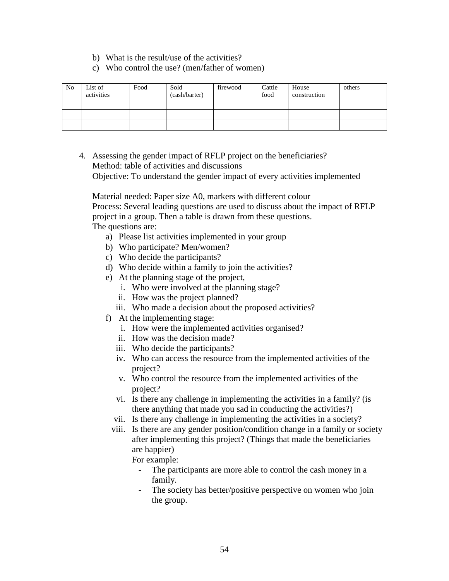- b) What is the result/use of the activities?
- c) Who control the use? (men/father of women)

| N <sub>0</sub> | List of    | Food | Sold          | firewood | Cattle | House        | others |
|----------------|------------|------|---------------|----------|--------|--------------|--------|
|                | activities |      | (cash/barter) |          | food   | construction |        |
|                |            |      |               |          |        |              |        |
|                |            |      |               |          |        |              |        |
|                |            |      |               |          |        |              |        |
|                |            |      |               |          |        |              |        |

4. Assessing the gender impact of RFLP project on the beneficiaries? Method: table of activities and discussions Objective: To understand the gender impact of every activities implemented

Material needed: Paper size A0, markers with different colour Process: Several leading questions are used to discuss about the impact of RFLP project in a group. Then a table is drawn from these questions. The questions are:

- a) Please list activities implemented in your group
- b) Who participate? Men/women?
- c) Who decide the participants?
- d) Who decide within a family to join the activities?
- e) At the planning stage of the project,
	- i. Who were involved at the planning stage?
	- ii. How was the project planned?
	- iii. Who made a decision about the proposed activities?
- f) At the implementing stage:
	- i. How were the implemented activities organised?
	- ii. How was the decision made?
	- iii. Who decide the participants?
	- iv. Who can access the resource from the implemented activities of the project?
	- v. Who control the resource from the implemented activities of the project?
	- vi. Is there any challenge in implementing the activities in a family? (is there anything that made you sad in conducting the activities?)
	- vii. Is there any challenge in implementing the activities in a society?
	- viii. Is there are any gender position/condition change in a family or society after implementing this project? (Things that made the beneficiaries are happier)

For example:

- The participants are more able to control the cash money in a family.
- The society has better/positive perspective on women who join the group.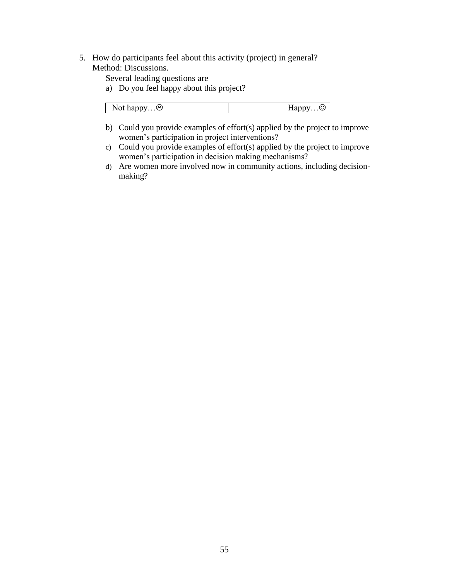5. How do participants feel about this activity (project) in general? Method: Discussions.

Several leading questions are

a) Do you feel happy about this project?

| $(\ddot{\sim})$<br>Not happy | $\epsilon$<br>ب<br>$\overline{111}$ |
|------------------------------|-------------------------------------|
|                              |                                     |

- b) Could you provide examples of effort(s) applied by the project to improve women's participation in project interventions?
- c) Could you provide examples of effort(s) applied by the project to improve women's participation in decision making mechanisms?
- d) Are women more involved now in community actions, including decisionmaking?